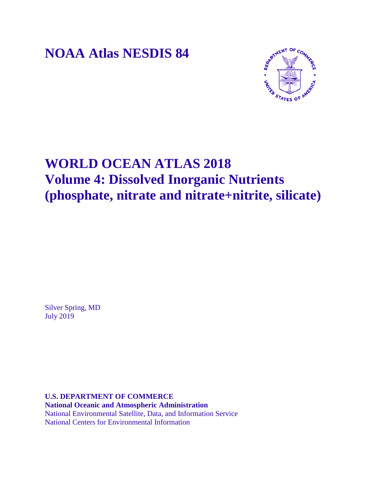**NOAA Atlas NESDIS 84**



# **WORLD OCEAN ATLAS 2018 Volume 4: Dissolved Inorganic Nutrients (phosphate, nitrate and nitrate+nitrite, silicate)**

Silver Spring, MD July 2019

**U.S. DEPARTMENT OF COMMERCE National Oceanic and Atmospheric Administration** National Environmental Satellite, Data, and Information Service National Centers for Environmental Information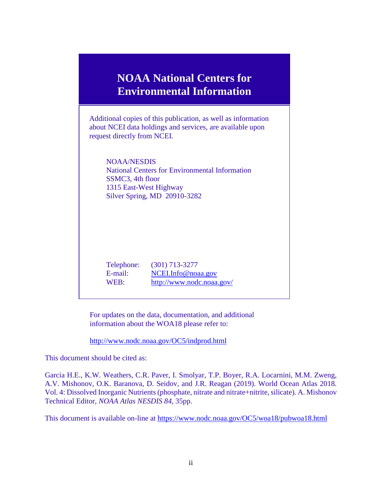# **NOAA National Centers for Environmental Information**

Additional copies of this publication, as well as information about NCEI data holdings and services, are available upon request directly from NCEI.

NOAA/NESDIS National Centers for Environmental Information SSMC3, 4th floor 1315 East-West Highway Silver Spring, MD 20910-3282

Telephone: (301) 713-3277 E-mail: [NCEI.Info@noaa.gov](mailto:NCEI.info@noaa.gov) WEB: <http://www.nodc.noaa.gov/>

For updates on the data, documentation, and additional information about the WOA18 please refer to:

<http://www.nodc.noaa.gov/OC5/indprod.html>

This document should be cited as:

Garcia H.E., K.W. Weathers, C.R. Paver, I. Smolyar, T.P. Boyer, R.A. Locarnini, M.M. Zweng, A.V. Mishonov, O.K. Baranova, D. Seidov, and J.R. Reagan (2019). World Ocean Atlas 2018*.* Vol. 4: Dissolved Inorganic Nutrients (phosphate, nitrate and nitrate+nitrite, silicate)*.* A. Mishonov Technical Editor, *NOAA Atlas NESDIS 84*, 35pp.

This document is available on-line at<https://www.nodc.noaa.gov/OC5/woa18/pubwoa18.html>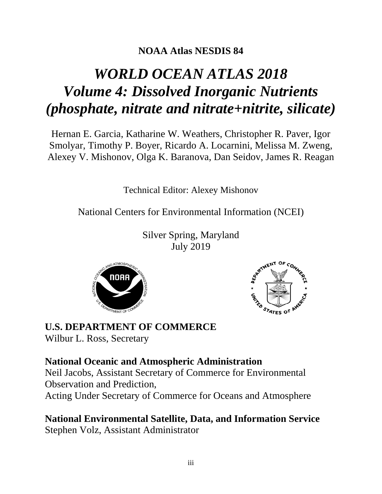## **NOAA Atlas NESDIS 84**

# *WORLD OCEAN ATLAS 2018 Volume 4: Dissolved Inorganic Nutrients (phosphate, nitrate and nitrate+nitrite, silicate)*

Hernan E. Garcia, Katharine W. Weathers, Christopher R. Paver, Igor Smolyar, Timothy P. Boyer, Ricardo A. Locarnini, Melissa M. Zweng, Alexey V. Mishonov, Olga K. Baranova, Dan Seidov, James R. Reagan

Technical Editor: Alexey Mishonov

National Centers for Environmental Information (NCEI)

Silver Spring, Maryland July 2019





# **U.S. DEPARTMENT OF COMMERCE**

Wilbur L. Ross, Secretary

### **National Oceanic and Atmospheric Administration**

Neil Jacobs, Assistant Secretary of Commerce for Environmental Observation and Prediction,

Acting Under Secretary of Commerce for Oceans and Atmosphere

**National Environmental Satellite, Data, and Information Service** Stephen Volz, Assistant Administrator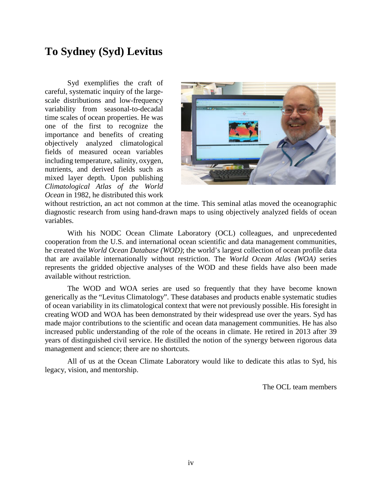## **To Sydney (Syd) Levitus**

Syd exemplifies the craft of careful, systematic inquiry of the largescale distributions and low-frequency variability from seasonal-to-decadal time scales of ocean properties. He was one of the first to recognize the importance and benefits of creating objectively analyzed climatological fields of measured ocean variables including temperature, salinity, oxygen, nutrients, and derived fields such as mixed layer depth. Upon publishing *Climatological Atlas of the World Ocean* in 1982, he distributed this work



without restriction, an act not common at the time. This seminal atlas moved the oceanographic diagnostic research from using hand-drawn maps to using objectively analyzed fields of ocean variables.

With his NODC Ocean Climate Laboratory (OCL) colleagues, and unprecedented cooperation from the U.S. and international ocean scientific and data management communities, he created the *World Ocean Database (WOD)*; the world's largest collection of ocean profile data that are available internationally without restriction. The *World Ocean Atlas (WOA)* series represents the gridded objective analyses of the WOD and these fields have also been made available without restriction.

The WOD and WOA series are used so frequently that they have become known generically as the "Levitus Climatology". These databases and products enable systematic studies of ocean variability in its climatological context that were not previously possible. His foresight in creating WOD and WOA has been demonstrated by their widespread use over the years. Syd has made major contributions to the scientific and ocean data management communities. He has also increased public understanding of the role of the oceans in climate. He retired in 2013 after 39 years of distinguished civil service. He distilled the notion of the synergy between rigorous data management and science; there are no shortcuts.

All of us at the Ocean Climate Laboratory would like to dedicate this atlas to Syd, his legacy, vision, and mentorship.

The OCL team members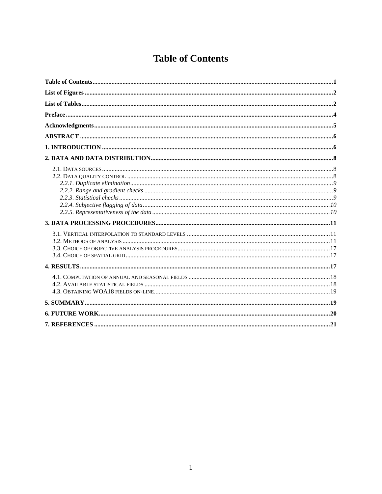# **Table of Contents**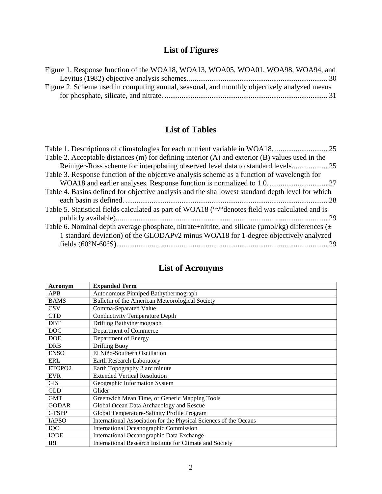# **List of Figures**

| Figure 1. Response function of the WOA18, WOA13, WOA05, WOA01, WOA98, WOA94, and            |  |
|---------------------------------------------------------------------------------------------|--|
|                                                                                             |  |
| Figure 2. Scheme used in computing annual, seasonal, and monthly objectively analyzed means |  |
|                                                                                             |  |

## **List of Tables**

| Table 1. Descriptions of climatologies for each nutrient variable in WOA18.                                 |  |
|-------------------------------------------------------------------------------------------------------------|--|
| Table 2. Acceptable distances (m) for defining interior (A) and exterior (B) values used in the             |  |
| Reiniger-Ross scheme for interpolating observed level data to standard levels                               |  |
| Table 3. Response function of the objective analysis scheme as a function of wavelength for                 |  |
|                                                                                                             |  |
| Table 4. Basins defined for objective analysis and the shallowest standard depth level for which            |  |
|                                                                                                             |  |
| Table 5. Statistical fields calculated as part of WOA18 ("V"denotes field was calculated and is             |  |
|                                                                                                             |  |
| Table 6. Nominal depth average phosphate, nitrate+nitrite, and silicate ( $\mu$ mol/kg) differences ( $\pm$ |  |
| 1 standard deviation) of the GLODAPv2 minus WOA18 for 1-degree objectively analyzed                         |  |
|                                                                                                             |  |
|                                                                                                             |  |

| Acronym            | <b>Expanded Term</b>                                              |
|--------------------|-------------------------------------------------------------------|
| <b>APB</b>         | Autonomous Pinniped Bathythermograph                              |
| <b>BAMS</b>        | Bulletin of the American Meteorological Society                   |
| <b>CSV</b>         | Comma-Separated Value                                             |
| <b>CTD</b>         | <b>Conductivity Temperature Depth</b>                             |
| <b>DBT</b>         | Drifting Bathythermograph                                         |
| <b>DOC</b>         | Department of Commerce                                            |
| <b>DOE</b>         | Department of Energy                                              |
| <b>DRB</b>         | <b>Drifting Buoy</b>                                              |
| <b>ENSO</b>        | El Niño-Southern Oscillation                                      |
| ERL                | <b>Earth Research Laboratory</b>                                  |
| ETOPO <sub>2</sub> | Earth Topography 2 arc minute                                     |
| <b>EVR</b>         | <b>Extended Vertical Resolution</b>                               |
| <b>GIS</b>         | Geographic Information System                                     |
| <b>GLD</b>         | Glider                                                            |
| <b>GMT</b>         | Greenwich Mean Time, or Generic Mapping Tools                     |
| <b>GODAR</b>       | Global Ocean Data Archaeology and Rescue                          |
| <b>GTSPP</b>       | Global Temperature-Salinity Profile Program                       |
| <b>IAPSO</b>       | International Association for the Physical Sciences of the Oceans |
| <b>IOC</b>         | <b>International Oceanographic Commission</b>                     |
| <b>IODE</b>        | International Oceanographic Data Exchange                         |
| IRI                | International Research Institute for Climate and Society          |

# **List of Acronyms**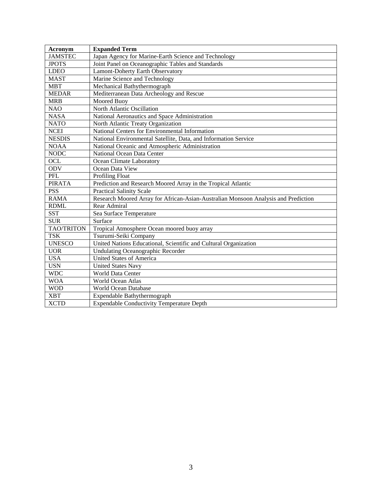| <b>Acronym</b>    | <b>Expanded Term</b>                                                               |
|-------------------|------------------------------------------------------------------------------------|
| <b>JAMSTEC</b>    | Japan Agency for Marine-Earth Science and Technology                               |
| <b>JPOTS</b>      | Joint Panel on Oceanographic Tables and Standards                                  |
| <b>LDEO</b>       | Lamont-Doherty Earth Observatory                                                   |
| <b>MAST</b>       | Marine Science and Technology                                                      |
| <b>MBT</b>        | Mechanical Bathythermograph                                                        |
| <b>MEDAR</b>      | Mediterranean Data Archeology and Rescue                                           |
| <b>MRB</b>        | Moored Buoy                                                                        |
| <b>NAO</b>        | North Atlantic Oscillation                                                         |
| <b>NASA</b>       | National Aeronautics and Space Administration                                      |
| <b>NATO</b>       | North Atlantic Treaty Organization                                                 |
| <b>NCEI</b>       | National Centers for Environmental Information                                     |
| <b>NESDIS</b>     | National Environmental Satellite, Data, and Information Service                    |
| <b>NOAA</b>       | National Oceanic and Atmospheric Administration                                    |
| <b>NODC</b>       | National Ocean Data Center                                                         |
| OCL               | Ocean Climate Laboratory                                                           |
| <b>ODV</b>        | Ocean Data View                                                                    |
| PFL               | Profiling Float                                                                    |
| <b>PIRATA</b>     | Prediction and Research Moored Array in the Tropical Atlantic                      |
| <b>PSS</b>        | <b>Practical Salinity Scale</b>                                                    |
| <b>RAMA</b>       | Research Moored Array for African-Asian-Australian Monsoon Analysis and Prediction |
| <b>RDML</b>       | Rear Admiral                                                                       |
| <b>SST</b>        | Sea Surface Temperature                                                            |
| <b>SUR</b>        | Surface                                                                            |
| <b>TAO/TRITON</b> | Tropical Atmosphere Ocean moored buoy array                                        |
| <b>TSK</b>        | Tsurumi-Seiki Company                                                              |
| <b>UNESCO</b>     | United Nations Educational, Scientific and Cultural Organization                   |
| <b>UOR</b>        | <b>Undulating Oceanographic Recorder</b>                                           |
| <b>USA</b>        | <b>United States of America</b>                                                    |
| <b>USN</b>        | <b>United States Navy</b>                                                          |
| <b>WDC</b>        | <b>World Data Center</b>                                                           |
| <b>WOA</b>        | World Ocean Atlas                                                                  |
| <b>WOD</b>        | <b>World Ocean Database</b>                                                        |
| <b>XBT</b>        | Expendable Bathythermograph                                                        |
| <b>XCTD</b>       | <b>Expendable Conductivity Temperature Depth</b>                                   |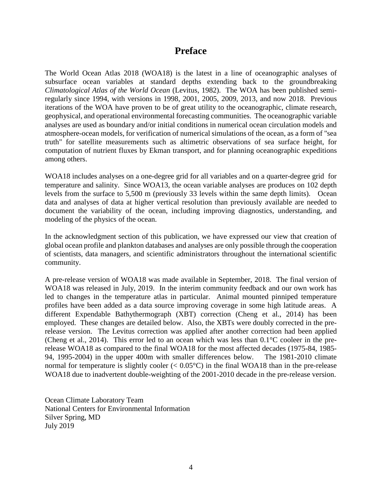### **Preface**

The World Ocean Atlas 2018 (WOA18) is the latest in a line of oceanographic analyses of subsurface ocean variables at standard depths extending back to the groundbreaking *Climatological Atlas of the World Ocean* (Levitus, 1982). The WOA has been published semiregularly since 1994, with versions in 1998, 2001, 2005, 2009, 2013, and now 2018. Previous iterations of the WOA have proven to be of great utility to the oceanographic, climate research, geophysical, and operational environmental forecasting communities. The oceanographic variable analyses are used as boundary and/or initial conditions in numerical ocean circulation models and atmosphere-ocean models, for verification of numerical simulations of the ocean, as a form of "sea truth" for satellite measurements such as altimetric observations of sea surface height, for computation of nutrient fluxes by Ekman transport, and for planning oceanographic expeditions among others.

WOA18 includes analyses on a one-degree grid for all variables and on a quarter-degree grid for temperature and salinity. Since WOA13, the ocean variable analyses are produces on 102 depth levels from the surface to 5,500 m (previously 33 levels within the same depth limits). Ocean data and analyses of data at higher vertical resolution than previously available are needed to document the variability of the ocean, including improving diagnostics, understanding, and modeling of the physics of the ocean.

In the acknowledgment section of this publication, we have expressed our view that creation of global ocean profile and plankton databases and analyses are only possible through the cooperation of scientists, data managers, and scientific administrators throughout the international scientific community.

A pre-release version of WOA18 was made available in September, 2018. The final version of WOA18 was released in July, 2019. In the interim community feedback and our own work has led to changes in the temperature atlas in particular. Animal mounted pinniped temperature profiles have been added as a data source improving coverage in some high latitude areas. A different Expendable Bathythermograph (XBT) correction (Cheng et al., 2014) has been employed. These changes are detailed below. Also, the XBTs were doubly corrected in the prerelease version. The Levitus correction was applied after another correction had been applied (Cheng et al., 2014). This error led to an ocean which was less than 0.1°C cooleer in the prerelease WOA18 as compared to the final WOA18 for the most affected decades (1975-84, 1985- 94, 1995-2004) in the upper 400m with smaller differences below. The 1981-2010 climate normal for temperature is slightly cooler  $(< 0.05^{\circ}$ C) in the final WOA18 than in the pre-release WOA18 due to inadvertent double-weighting of the 2001-2010 decade in the pre-release version.

Ocean Climate Laboratory Team National Centers for Environmental Information Silver Spring, MD July 2019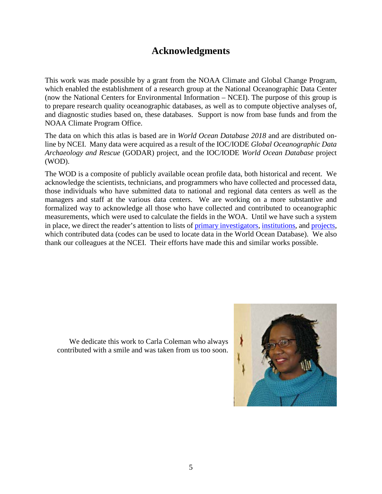### **Acknowledgments**

This work was made possible by a grant from the NOAA Climate and Global Change Program, which enabled the establishment of a research group at the National Oceanographic Data Center (now the National Centers for Environmental Information – NCEI). The purpose of this group is to prepare research quality oceanographic databases, as well as to compute objective analyses of, and diagnostic studies based on, these databases. Support is now from base funds and from the NOAA Climate Program Office.

The data on which this atlas is based are in *World Ocean Database 2018* and are distributed online by NCEI. Many data were acquired as a result of the IOC/IODE *Global Oceanographic Data Archaeology and Rescue* (GODAR) project, and the IOC/IODE *World Ocean Database* project (WOD).

The WOD is a composite of publicly available ocean profile data, both historical and recent. We acknowledge the scientists, technicians, and programmers who have collected and processed data, those individuals who have submitted data to national and regional data centers as well as the managers and staff at the various data centers. We are working on a more substantive and formalized way to acknowledge all those who have collected and contributed to oceanographic measurements, which were used to calculate the fields in the WOA. Until we have such a system in place, we direct the reader's attention to lists of [primary investigators,](http://data.nodc.noaa.gov/woa/WOD/CODES/PDF/primary_investigator_list.pdf) [institutions,](https://data.nodc.noaa.gov/woa/WOD/CODES/PDF/s_4_institute.pdf) and [projects,](https://data.nodc.noaa.gov/woa/WOD/CODES/PDF/s_2_project.pdf) which contributed data (codes can be used to locate data in the World Ocean Database). We also thank our colleagues at the NCEI. Their efforts have made this and similar works possible.

We dedicate this work to Carla Coleman who always contributed with a smile and was taken from us too soon.

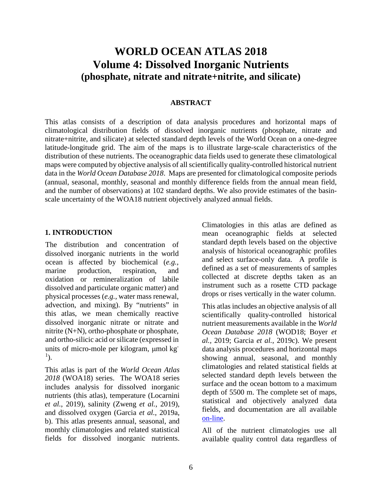## **WORLD OCEAN ATLAS 2018 Volume 4: Dissolved Inorganic Nutrients (phosphate, nitrate and nitrate+nitrite, and silicate)**

#### **ABSTRACT**

This atlas consists of a description of data analysis procedures and horizontal maps of climatological distribution fields of dissolved inorganic nutrients (phosphate, nitrate and nitrate+nitrite, and silicate) at selected standard depth levels of the World Ocean on a one-degree latitude-longitude grid. The aim of the maps is to illustrate large-scale characteristics of the distribution of these nutrients. The oceanographic data fields used to generate these climatological maps were computed by objective analysis of all scientifically quality-controlled historical nutrient data in the *World Ocean Database 2018*. Maps are presented for climatological composite periods (annual, seasonal, monthly, seasonal and monthly difference fields from the annual mean field, and the number of observations) at 102 standard depths. We also provide estimates of the basinscale uncertainty of the WOA18 nutrient objectively analyzed annual fields.

#### **1. INTRODUCTION**

The distribution and concentration of dissolved inorganic nutrients in the world ocean is affected by biochemical (*e.g.,*  marine production, respiration, and oxidation or remineralization of labile dissolved and particulate organic matter) and physical processes (*e.g.,* water mass renewal, advection, and mixing). By "nutrients" in this atlas, we mean chemically reactive dissolved inorganic nitrate or nitrate and nitrite (N+N), ortho-phosphate or phosphate, and ortho-silicic acid or silicate (expressed in units of micro-mole per kilogram, µmol kg-1 ).

This atlas is part of the *World Ocean Atlas 2018* (WOA18) series. The WOA18 series includes analysis for dissolved inorganic nutrients (this atlas), temperature (Locarnini *et al.*, 2019), salinity (Zweng *et al.*, 2019), and dissolved oxygen (Garcia *et al.*, 2019a, b). This atlas presents annual, seasonal, and monthly climatologies and related statistical fields for dissolved inorganic nutrients. Climatologies in this atlas are defined as mean oceanographic fields at selected standard depth levels based on the objective analysis of historical oceanographic profiles and select surface-only data. A profile is defined as a set of measurements of samples collected at discrete depths taken as an instrument such as a rosette CTD package drops or rises vertically in the water column.

This atlas includes an objective analysis of all scientifically quality-controlled historical nutrient measurements available in the *World Ocean Database 2018* (WOD18; Boyer *et al.,* 2019; Garcia *et al.*, 2019c). We present data analysis procedures and horizontal maps showing annual, seasonal, and monthly climatologies and related statistical fields at selected standard depth levels between the surface and the ocean bottom to a maximum depth of 5500 m. The complete set of maps, statistical and objectively analyzed data fields, and documentation are all available [on-line.](http://www.nodc.noaa.gov/OC5/indprod.html)

All of the nutrient climatologies use all available quality control data regardless of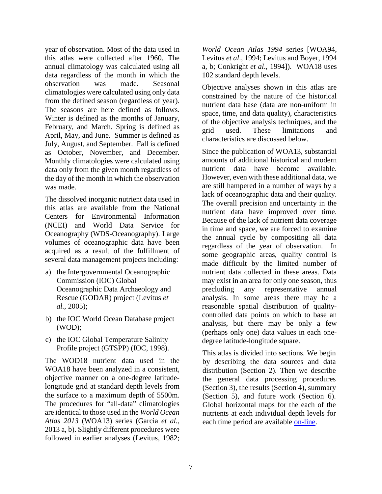year of observation. Most of the data used in this atlas were collected after 1960. The annual climatology was calculated using all data regardless of the month in which the observation was made. Seasonal climatologies were calculated using only data from the defined season (regardless of year). The seasons are here defined as follows. Winter is defined as the months of January, February, and March. Spring is defined as April, May, and June. Summer is defined as July, August, and September. Fall is defined as October, November, and December. Monthly climatologies were calculated using data only from the given month regardless of the day of the month in which the observation was made.

The dissolved inorganic nutrient data used in this atlas are available from the National Centers for Environmental Information (NCEI) and World Data Service for Oceanography (WDS-Oceanography). Large volumes of oceanographic data have been acquired as a result of the fulfillment of several data management projects including:

- a) the Intergovernmental Oceanographic Commission (IOC) Global Oceanographic Data Archaeology and Rescue (GODAR) project (Levitus *et al.,* 2005);
- b) the IOC World Ocean Database project (WOD);
- c) the IOC Global Temperature Salinity Profile project (GTSPP) (IOC, 1998).

The WOD18 nutrient data used in the WOA18 have been analyzed in a consistent, objective manner on a one-degree latitudelongitude grid at standard depth levels from the surface to a maximum depth of 5500m. The procedures for "all-data" climatologies are identical to those used in the *World Ocean Atlas 2013* (WOA13) series (Garcia *et al.*, 2013 a, b). Slightly different procedures were followed in earlier analyses (Levitus, 1982;

*World Ocean Atlas 1994* series [WOA94, Levitus *et al*., 1994; Levitus and Boyer, 1994 a, b; Conkright *et al*., 1994]). WOA18 uses 102 standard depth levels.

Objective analyses shown in this atlas are constrained by the nature of the historical nutrient data base (data are non-uniform in space, time, and data quality), characteristics of the objective analysis techniques, and the grid used. These limitations and characteristics are discussed below.

Since the publication of WOA13, substantial amounts of additional historical and modern nutrient data have become available. However, even with these additional data, we are still hampered in a number of ways by a lack of oceanographic data and their quality. The overall precision and uncertainty in the nutrient data have improved over time. Because of the lack of nutrient data coverage in time and space, we are forced to examine the annual cycle by compositing all data regardless of the year of observation. In some geographic areas, quality control is made difficult by the limited number of nutrient data collected in these areas. Data may exist in an area for only one season, thus precluding any representative annual analysis. In some areas there may be a reasonable spatial distribution of qualitycontrolled data points on which to base an analysis, but there may be only a few (perhaps only one) data values in each onedegree latitude-longitude square.

This atlas is divided into sections. We begin by describing the data sources and data distribution (Section 2). Then we describe the general data processing procedures (Section 3), the results (Section 4), summary (Section 5), and future work (Section 6). Global horizontal maps for the each of the nutrients at each individual depth levels for each time period are available [on-line.](http://www.nodc.noaa.gov/OC5/woa13f/index.html)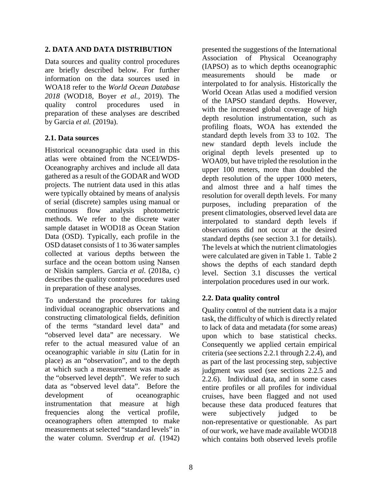#### **2. DATA AND DATA DISTRIBUTION**

Data sources and quality control procedures are briefly described below. For further information on the data sources used in WOA18 refer to the *World Ocean Database 2018* (WOD18, Boyer *et al.,* 2019). The quality control procedures used in preparation of these analyses are described by Garcia *et al.* (2019a).

#### **2.1. Data sources**

Historical oceanographic data used in this atlas were obtained from the NCEI/WDS-Oceanography archives and include all data gathered as a result of the GODAR and WOD projects. The nutrient data used in this atlas were typically obtained by means of analysis of serial (discrete) samples using manual or continuous flow analysis photometric methods. We refer to the discrete water sample dataset in WOD18 as Ocean Station Data (OSD). Typically, each profile in the OSD dataset consists of 1 to 36 water samples collected at various depths between the surface and the ocean bottom using Nansen or Niskin samplers. Garcia *et al.* (2018a, c) describes the quality control procedures used in preparation of these analyses.

To understand the procedures for taking individual oceanographic observations and constructing climatological fields, definition of the terms "standard level data" and "observed level data" are necessary. We refer to the actual measured value of an oceanographic variable *in situ* (Latin for in place) as an "observation", and to the depth at which such a measurement was made as the "observed level depth". We refer to such data as "observed level data". Before the development of oceanographic instrumentation that measure at high frequencies along the vertical profile, oceanographers often attempted to make measurements at selected "standard levels" in the water column. Sverdrup *et al.* (1942)

presented the suggestions of the International Association of Physical Oceanography (IAPSO) as to which depths oceanographic measurements should be made or interpolated to for analysis. Historically the World Ocean Atlas used a modified version of the IAPSO standard depths. However, with the increased global coverage of high depth resolution instrumentation, such as profiling floats, WOA has extended the standard depth levels from 33 to 102. The new standard depth levels include the original depth levels presented up to WOA09, but have tripled the resolution in the upper 100 meters, more than doubled the depth resolution of the upper 1000 meters, and almost three and a half times the resolution for overall depth levels. For many purposes, including preparation of the present climatologies, observed level data are interpolated to standard depth levels if observations did not occur at the desired standard depths (see section 3.1 for details). The levels at which the nutrient climatologies were calculated are given in Table 1. Table 2 shows the depths of each standard depth level. Section 3.1 discusses the vertical interpolation procedures used in our work.

### **2.2. Data quality control**

Quality control of the nutrient data is a major task, the difficulty of which is directly related to lack of data and metadata (for some areas) upon which to base statistical checks. Consequently we applied certain empirical criteria (see sections 2.2.1 through 2.2.4), and as part of the last processing step, subjective judgment was used (see sections 2.2.5 and 2.2.6). Individual data, and in some cases entire profiles or all profiles for individual cruises, have been flagged and not used because these data produced features that were subjectively judged to be non-representative or questionable. As part of our work, we have made available WOD18 which contains both observed levels profile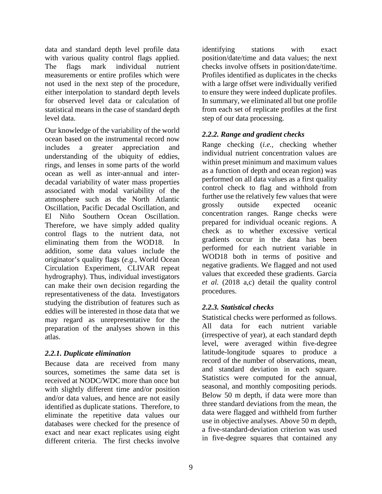data and standard depth level profile data with various quality control flags applied. The flags mark individual nutrient measurements or entire profiles which were not used in the next step of the procedure, either interpolation to standard depth levels for observed level data or calculation of statistical means in the case of standard depth level data.

Our knowledge of the variability of the world ocean based on the instrumental record now includes a greater appreciation and understanding of the ubiquity of eddies, rings, and lenses in some parts of the world ocean as well as inter-annual and interdecadal variability of water mass properties associated with modal variability of the atmosphere such as the North Atlantic Oscillation, Pacific Decadal Oscillation, and El Niño Southern Ocean Oscillation. Therefore, we have simply added quality control flags to the nutrient data, not eliminating them from the WOD18. In addition, some data values include the originator's quality flags (*e.g.*, World Ocean Circulation Experiment, CLIVAR repeat hydrography). Thus, individual investigators can make their own decision regarding the representativeness of the data. Investigators studying the distribution of features such as eddies will be interested in those data that we may regard as unrepresentative for the preparation of the analyses shown in this atlas.

#### *2.2.1. Duplicate elimination*

Because data are received from many sources, sometimes the same data set is received at NODC/WDC more than once but with slightly different time and/or position and/or data values, and hence are not easily identified as duplicate stations. Therefore, to eliminate the repetitive data values our databases were checked for the presence of exact and near exact replicates using eight different criteria. The first checks involve

identifying stations with exact position/date/time and data values; the next checks involve offsets in position/date/time. Profiles identified as duplicates in the checks with a large offset were individually verified to ensure they were indeed duplicate profiles. In summary, we eliminated all but one profile from each set of replicate profiles at the first step of our data processing.

### *2.2.2. Range and gradient checks*

Range checking (*i.e.,* checking whether individual nutrient concentration values are within preset minimum and maximum values as a function of depth and ocean region) was performed on all data values as a first quality control check to flag and withhold from further use the relatively few values that were grossly outside expected oceanic concentration ranges. Range checks were prepared for individual oceanic regions. A check as to whether excessive vertical gradients occur in the data has been performed for each nutrient variable in WOD18 both in terms of positive and negative gradients. We flagged and not used values that exceeded these gradients. Garcia *et al.* (2018 a,c) detail the quality control procedures.

### *2.2.3. Statistical checks*

Statistical checks were performed as follows. All data for each nutrient variable (irrespective of year), at each standard depth level, were averaged within five-degree latitude-longitude squares to produce a record of the number of observations, mean, and standard deviation in each square. Statistics were computed for the annual, seasonal, and monthly compositing periods. Below 50 m depth, if data were more than three standard deviations from the mean, the data were flagged and withheld from further use in objective analyses. Above 50 m depth, a five-standard-deviation criterion was used in five-degree squares that contained any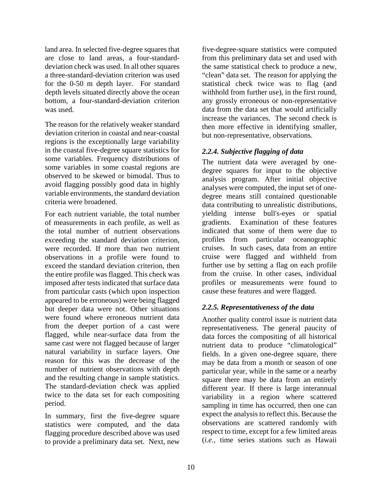land area. In selected five-degree squares that are close to land areas, a four-standarddeviation check was used. In all other squares a three-standard-deviation criterion was used for the 0-50 m depth layer. For standard depth levels situated directly above the ocean bottom, a four-standard-deviation criterion was used.

The reason for the relatively weaker standard deviation criterion in coastal and near-coastal regions is the exceptionally large variability in the coastal five-degree square statistics for some variables. Frequency distributions of some variables in some coastal regions are observed to be skewed or bimodal. Thus to avoid flagging possibly good data in highly variable environments, the standard deviation criteria were broadened.

For each nutrient variable, the total number of measurements in each profile, as well as the total number of nutrient observations exceeding the standard deviation criterion, were recorded. If more than two nutrient observations in a profile were found to exceed the standard deviation criterion, then the entire profile was flagged. This check was imposed after tests indicated that surface data from particular casts (which upon inspection appeared to be erroneous) were being flagged but deeper data were not. Other situations were found where erroneous nutrient data from the deeper portion of a cast were flagged, while near-surface data from the same cast were not flagged because of larger natural variability in surface layers. One reason for this was the decrease of the number of nutrient observations with depth and the resulting change in sample statistics. The standard-deviation check was applied twice to the data set for each compositing period.

In summary, first the five-degree square statistics were computed, and the data flagging procedure described above was used to provide a preliminary data set. Next, new

five-degree-square statistics were computed from this preliminary data set and used with the same statistical check to produce a new, "clean" data set. The reason for applying the statistical check twice was to flag (and withhold from further use), in the first round, any grossly erroneous or non-representative data from the data set that would artificially increase the variances. The second check is then more effective in identifying smaller, but non-representative, observations.

### *2.2.4. Subjective flagging of data*

The nutrient data were averaged by onedegree squares for input to the objective analysis program. After initial objective analyses were computed, the input set of onedegree means still contained questionable data contributing to unrealistic distributions, yielding intense bull's-eyes or spatial gradients. Examination of these features indicated that some of them were due to profiles from particular oceanographic cruises. In such cases, data from an entire cruise were flagged and withheld from further use by setting a flag on each profile from the cruise. In other cases, individual profiles or measurements were found to cause these features and were flagged.

### *2.2.5. Representativeness of the data*

Another quality control issue is nutrient data representativeness. The general paucity of data forces the compositing of all historical nutrient data to produce "climatological" fields. In a given one-degree square, there may be data from a month or season of one particular year, while in the same or a nearby square there may be data from an entirely different year. If there is large interannual variability in a region where scattered sampling in time has occurred, then one can expect the analysis to reflect this. Because the observations are scattered randomly with respect to time, except for a few limited areas (*i.e.*, time series stations such as Hawaii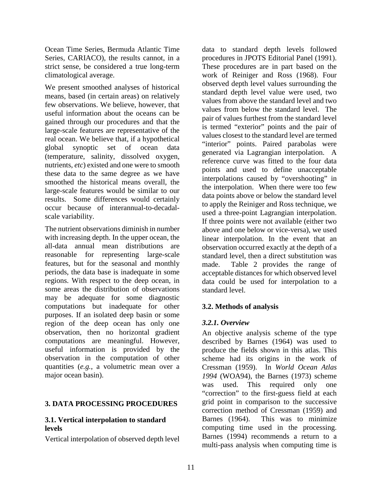Ocean Time Series, Bermuda Atlantic Time Series, CARIACO), the results cannot, in a strict sense, be considered a true long-term climatological average.

We present smoothed analyses of historical means, based (in certain areas) on relatively few observations. We believe, however, that useful information about the oceans can be gained through our procedures and that the large-scale features are representative of the real ocean. We believe that, if a hypothetical global synoptic set of ocean data (temperature, salinity, dissolved oxygen, nutrients, *etc*) existed and one were to smooth these data to the same degree as we have smoothed the historical means overall, the large-scale features would be similar to our results. Some differences would certainly occur because of interannual-to-decadalscale variability.

The nutrient observations diminish in number with increasing depth. In the upper ocean, the all-data annual mean distributions are reasonable for representing large-scale features, but for the seasonal and monthly periods, the data base is inadequate in some regions. With respect to the deep ocean, in some areas the distribution of observations may be adequate for some diagnostic computations but inadequate for other purposes. If an isolated deep basin or some region of the deep ocean has only one observation, then no horizontal gradient computations are meaningful. However, useful information is provided by the observation in the computation of other quantities (*e.g.*, a volumetric mean over a major ocean basin).

#### **3. DATA PROCESSING PROCEDURES**

#### **3.1. Vertical interpolation to standard levels**

Vertical interpolation of observed depth level

data to standard depth levels followed procedures in JPOTS Editorial Panel (1991). These procedures are in part based on the work of Reiniger and Ross (1968). Four observed depth level values surrounding the standard depth level value were used, two values from above the standard level and two values from below the standard level. The pair of values furthest from the standard level is termed "exterior" points and the pair of values closest to the standard level are termed "interior" points. Paired parabolas were generated via Lagrangian interpolation. A reference curve was fitted to the four data points and used to define unacceptable interpolations caused by "overshooting" in the interpolation. When there were too few data points above or below the standard level to apply the Reiniger and Ross technique, we used a three-point Lagrangian interpolation. If three points were not available (either two above and one below or vice-versa), we used linear interpolation. In the event that an observation occurred exactly at the depth of a standard level, then a direct substitution was made. Table 2 provides the range of acceptable distances for which observed level data could be used for interpolation to a standard level.

#### **3.2. Methods of analysis**

#### *3.2.1. Overview*

An objective analysis scheme of the type described by Barnes (1964) was used to produce the fields shown in this atlas. This scheme had its origins in the work of Cressman (1959). In *World Ocean Atlas 1994* (WOA94), the Barnes (1973) scheme was used. This required only one "correction" to the first-guess field at each grid point in comparison to the successive correction method of Cressman (1959) and Barnes (1964). This was to minimize computing time used in the processing. Barnes (1994) recommends a return to a multi-pass analysis when computing time is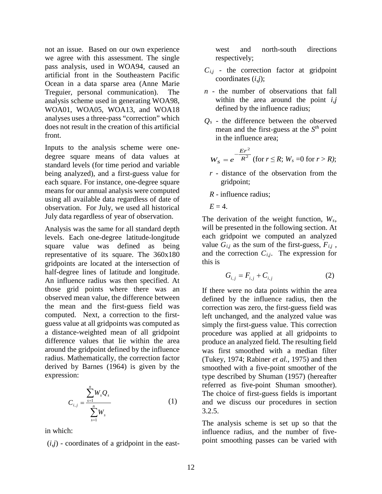not an issue. Based on our own experience we agree with this assessment. The single pass analysis, used in WOA94, caused an artificial front in the Southeastern Pacific Ocean in a data sparse area (Anne Marie Treguier, personal communication). The analysis scheme used in generating WOA98, WOA01, WOA05, WOA13, and WOA18 analyses uses a three-pass "correction" which does not result in the creation of this artificial front.

Inputs to the analysis scheme were onedegree square means of data values at standard levels (for time period and variable being analyzed), and a first-guess value for each square. For instance, one-degree square means for our annual analysis were computed using all available data regardless of date of observation. For July, we used all historical July data regardless of year of observation.

Analysis was the same for all standard depth levels. Each one-degree latitude-longitude square value was defined as being representative of its square. The 360x180 gridpoints are located at the intersection of half-degree lines of latitude and longitude. An influence radius was then specified. At those grid points where there was an observed mean value, the difference between the mean and the first-guess field was computed. Next, a correction to the firstguess value at all gridpoints was computed as a distance-weighted mean of all gridpoint difference values that lie within the area around the gridpoint defined by the influence radius. Mathematically, the correction factor derived by Barnes (1964) is given by the expression:

$$
C_{i,j} = \frac{\sum_{s=1}^{n} W_s Q_s}{\sum_{s=1}^{n} W_s}
$$
 (1)

in which:

 $(i,j)$  - coordinates of a gridpoint in the east-

west and north-south directions respectively;

- $C_{i,j}$  the correction factor at gridpoint coordinates (*i,j*);
- *n* the number of observations that fall within the area around the point *i,j* defined by the influence radius;
- *Qs* the difference between the observed mean and the first-guess at the *Sth* point in the influence area;

$$
W_s = e^{-\frac{Er^2}{R^2}}
$$
 (for  $r \le R$ ;  $W_s = 0$  for  $r > R$ );

- *r* distance of the observation from the gridpoint;
- *R* influence radius;
- $E = 4$ .

The derivation of the weight function, *Ws*, will be presented in the following section. At each gridpoint we computed an analyzed value  $G_{i,j}$  as the sum of the first-guess,  $F_{i,j}$ , and the correction  $C_{i,j}$ . The expression for this is

$$
G_{i,j} = F_{i,j} + C_{i,j}
$$
 (2)

If there were no data points within the area defined by the influence radius, then the correction was zero, the first-guess field was left unchanged, and the analyzed value was simply the first-guess value. This correction procedure was applied at all gridpoints to produce an analyzed field. The resulting field was first smoothed with a median filter (Tukey, 1974; Rabiner *et al.,* 1975) and then smoothed with a five-point smoother of the type described by Shuman (1957) (hereafter referred as five-point Shuman smoother). The choice of first-guess fields is important and we discuss our procedures in section 3.2.5.

The analysis scheme is set up so that the influence radius, and the number of fivepoint smoothing passes can be varied with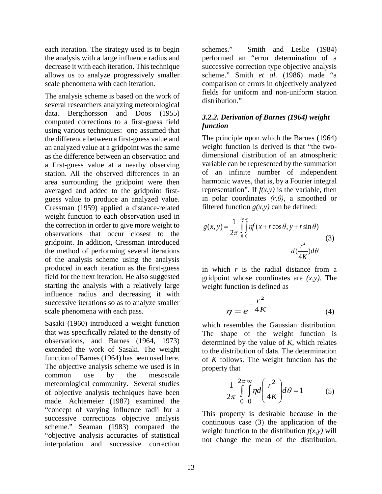each iteration. The strategy used is to begin the analysis with a large influence radius and decrease it with each iteration. This technique allows us to analyze progressively smaller scale phenomena with each iteration.

The analysis scheme is based on the work of several researchers analyzing meteorological data. Bergthorsson and Doos (1955) computed corrections to a first-guess field using various techniques: one assumed that the difference between a first-guess value and an analyzed value at a gridpoint was the same as the difference between an observation and a first-guess value at a nearby observing station. All the observed differences in an area surrounding the gridpoint were then averaged and added to the gridpoint firstguess value to produce an analyzed value. Cressman (1959) applied a distance-related weight function to each observation used in the correction in order to give more weight to observations that occur closest to the gridpoint. In addition, Cressman introduced the method of performing several iterations of the analysis scheme using the analysis produced in each iteration as the first-guess field for the next iteration. He also suggested starting the analysis with a relatively large influence radius and decreasing it with successive iterations so as to analyze smaller scale phenomena with each pass.

Sasaki (1960) introduced a weight function that was specifically related to the density of observations, and Barnes (1964, 1973) extended the work of Sasaki. The weight function of Barnes (1964) has been used here. The objective analysis scheme we used is in common use by the mesoscale meteorological community. Several studies of objective analysis techniques have been made. Achtemeier (1987) examined the "concept of varying influence radii for a successive corrections objective analysis scheme." Seaman (1983) compared the "objective analysis accuracies of statistical interpolation and successive correction

schemes." Smith and Leslie (1984) performed an "error determination of a successive correction type objective analysis scheme." Smith *et al.* (1986) made "a comparison of errors in objectively analyzed fields for uniform and non-uniform station distribution."

#### *3.2.2. Derivation of Barnes (1964) weight function*

The principle upon which the Barnes (1964) weight function is derived is that "the twodimensional distribution of an atmospheric variable can be represented by the summation of an infinite number of independent harmonic waves, that is, by a Fourier integral representation". If  $f(x, y)$  is the variable, then in polar coordinates *(r,θ)*, a smoothed or filtered function  $g(x, y)$  can be defined:

$$
g(x, y) = \frac{1}{2\pi} \int_{0}^{2\pi} \int_{0}^{\infty} \eta f(x + r\cos\theta, y + r\sin\theta)
$$
\n
$$
d(\frac{r^2}{4K})d\theta
$$
\n(3)

in which *r* is the radial distance from a gridpoint whose coordinates are *(x,y)*. The weight function is defined as

$$
\eta = e^{-\frac{r^2}{4K}} \tag{4}
$$

which resembles the Gaussian distribution. The shape of the weight function is determined by the value of *K*, which relates to the distribution of data. The determination of *K* follows. The weight function has the property that

$$
\frac{1}{2\pi} \int_{0}^{2\pi} \int_{0}^{\infty} \eta d\left(\frac{r^2}{4K}\right) d\theta = 1
$$
 (5)

This property is desirable because in the continuous case (3) the application of the weight function to the distribution  $f(x, y)$  will not change the mean of the distribution.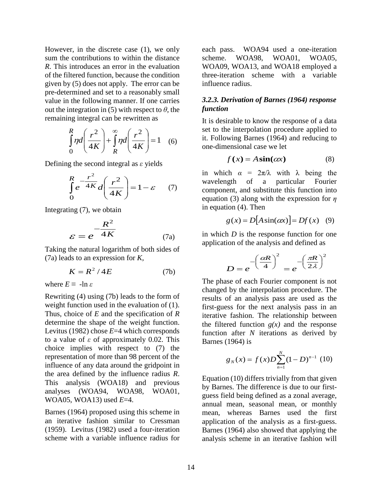However, in the discrete case (1), we only sum the contributions to within the distance *R*. This introduces an error in the evaluation of the filtered function, because the condition given by (5) does not apply. The error can be pre-determined and set to a reasonably small value in the following manner. If one carries out the integration in (5) with respect to  $\theta$ , the remaining integral can be rewritten as

$$
\int_{0}^{R} \eta d\left(\frac{r^{2}}{4K}\right) + \int_{R}^{\infty} \eta d\left(\frac{r^{2}}{4K}\right) = 1
$$
 (6)

Defining the second integral as *ε* yields

$$
\int_{0}^{R} e^{-\frac{r^2}{4K}} d\left(\frac{r^2}{4K}\right) = 1 - \varepsilon \qquad (7)
$$

Integrating (7), we obtain

$$
\varepsilon = e^{-\frac{R^2}{4K}} \tag{7a}
$$

Taking the natural logarithm of both sides of (7a) leads to an expression for *K,*

$$
K = R^2 / 4E \tag{7b}
$$

where  $E \equiv -\ln \varepsilon$ 

Rewriting (4) using (7b) leads to the form of weight function used in the evaluation of  $(1)$ . Thus, choice of *E* and the specification of *R* determine the shape of the weight function. Levitus (1982) chose *E*=4 which corresponds to a value of *ε* of approximately 0.02. This choice implies with respect to (7) the representation of more than 98 percent of the influence of any data around the gridpoint in the area defined by the influence radius *R*. This analysis (WOA18) and previous analyses (WOA94, WOA98, WOA01, WOA05, WOA13) used *E*=4.

Barnes (1964) proposed using this scheme in an iterative fashion similar to Cressman (1959). Levitus (1982) used a four-iteration scheme with a variable influence radius for

each pass. WOA94 used a one-iteration scheme. WOA98, WOA01, WOA05, WOA09, WOA13, and WOA18 employed a three-iteration scheme with a variable influence radius.

#### *3.2.3. Derivation of Barnes (1964) response function*

It is desirable to know the response of a data set to the interpolation procedure applied to it. Following Barnes (1964) and reducing to one-dimensional case we let

$$
f(x) = A\sin(\alpha x) \tag{8}
$$

in which  $\alpha = 2\pi/\lambda$  with  $\lambda$  being the wavelength of a particular Fourier component, and substitute this function into equation (3) along with the expression for *η* in equation (4). Then

$$
g(x) = D[A\sin(\alpha x)] = Df(x) \quad (9)
$$

in which *D* is the response function for one application of the analysis and defined as

$$
D = e^{-\left(\frac{\alpha R}{4}\right)^2} = e^{-\left(\frac{\pi R}{2\lambda}\right)^2}
$$

The phase of each Fourier component is not changed by the interpolation procedure. The results of an analysis pass are used as the first-guess for the next analysis pass in an iterative fashion. The relationship between the filtered function  $g(x)$  and the response function after *N* iterations as derived by Barnes (1964) is

$$
g_N(x) = f(x)D \sum_{n=1}^{N} (1 - D)^{n-1} (10)
$$

Equation (10) differs trivially from that given by Barnes. The difference is due to our firstguess field being defined as a zonal average, annual mean, seasonal mean, or monthly mean, whereas Barnes used the first application of the analysis as a first-guess. Barnes (1964) also showed that applying the analysis scheme in an iterative fashion will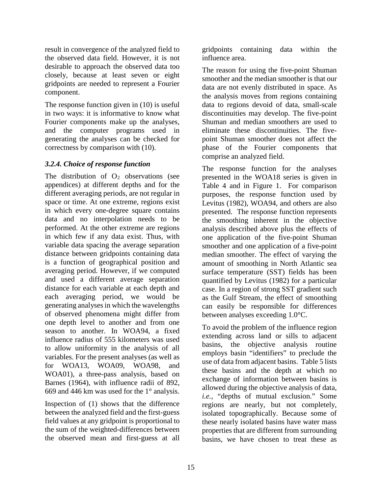result in convergence of the analyzed field to the observed data field. However, it is not desirable to approach the observed data too closely, because at least seven or eight gridpoints are needed to represent a Fourier component.

The response function given in (10) is useful in two ways: it is informative to know what Fourier components make up the analyses, and the computer programs used in generating the analyses can be checked for correctness by comparison with (10).

#### *3.2.4. Choice of response function*

The distribution of  $O<sub>2</sub>$  observations (see appendices) at different depths and for the different averaging periods, are not regular in space or time. At one extreme, regions exist in which every one-degree square contains data and no interpolation needs to be performed. At the other extreme are regions in which few if any data exist. Thus, with variable data spacing the average separation distance between gridpoints containing data is a function of geographical position and averaging period. However, if we computed and used a different average separation distance for each variable at each depth and each averaging period, we would be generating analyses in which the wavelengths of observed phenomena might differ from one depth level to another and from one season to another. In WOA94, a fixed influence radius of 555 kilometers was used to allow uniformity in the analysis of all variables. For the present analyses (as well as for WOA13, WOA09, WOA98, and WOA01), a three-pass analysis, based on Barnes (1964), with influence radii of 892, 669 and 446 km was used for the 1° analysis.

Inspection of (1) shows that the difference between the analyzed field and the first-guess field values at any gridpoint is proportional to the sum of the weighted-differences between the observed mean and first-guess at all

gridpoints containing data within the influence area.

The reason for using the five-point Shuman smoother and the median smoother is that our data are not evenly distributed in space. As the analysis moves from regions containing data to regions devoid of data, small-scale discontinuities may develop. The five-point Shuman and median smoothers are used to eliminate these discontinuities. The fivepoint Shuman smoother does not affect the phase of the Fourier components that comprise an analyzed field.

The response function for the analyses presented in the WOA18 series is given in Table 4 and in Figure 1. For comparison purposes, the response function used by Levitus (1982), WOA94, and others are also presented. The response function represents the smoothing inherent in the objective analysis described above plus the effects of one application of the five-point Shuman smoother and one application of a five-point median smoother. The effect of varying the amount of smoothing in North Atlantic sea surface temperature (SST) fields has been quantified by Levitus (1982) for a particular case. In a region of strong SST gradient such as the Gulf Stream, the effect of smoothing can easily be responsible for differences between analyses exceeding 1.0°C.

To avoid the problem of the influence region extending across land or sills to adjacent basins, the objective analysis routine employs basin "identifiers" to preclude the use of data from adjacent basins. Table 5 lists these basins and the depth at which no exchange of information between basins is allowed during the objective analysis of data, *i.e.,* "depths of mutual exclusion." Some regions are nearly, but not completely, isolated topographically. Because some of these nearly isolated basins have water mass properties that are different from surrounding basins, we have chosen to treat these as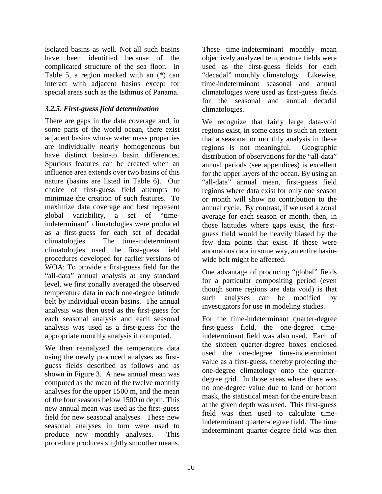isolated basins as well. Not all such basins have been identified because of the complicated structure of the sea floor. In Table 5, a region marked with an (\*) can interact with adjacent basins except for special areas such as the Isthmus of Panama.

#### *3.2.5. First-guess field determination*

There are gaps in the data coverage and, in some parts of the world ocean, there exist adjacent basins whose water mass properties are individually nearly homogeneous but have distinct basin-to basin differences. Spurious features can be created when an influence area extends over two basins of this nature (basins are listed in Table 6). Our choice of first-guess field attempts to minimize the creation of such features. To maximize data coverage and best represent global variability, a set of "timeindeterminant" climatologies were produced as a first-guess for each set of decadal climatologies. The time-indeterminant climatologies used the first-guess field procedures developed for earlier versions of WOA: To provide a first-guess field for the "all-data" annual analysis at any standard level, we first zonally averaged the observed temperature data in each one-degree latitude belt by individual ocean basins. The annual analysis was then used as the first-guess for each seasonal analysis and each seasonal analysis was used as a first-guess for the appropriate monthly analysis if computed.

We then reanalyzed the temperature data using the newly produced analyses as firstguess fields described as follows and as shown in Figure 3. A new annual mean was computed as the mean of the twelve monthly analyses for the upper 1500 m, and the mean of the four seasons below 1500 m depth. This new annual mean was used as the first-guess field for new seasonal analyses. These new seasonal analyses in turn were used to produce new monthly analyses. This procedure produces slightly smoother means.

These time-indeterminant monthly mean objectively analyzed temperature fields were used as the first-guess fields for each "decadal" monthly climatology. Likewise, time-indeterminant seasonal and annual climatologies were used as first-guess fields for the seasonal and annual decadal climatologies.

We recognize that fairly large data-void regions exist, in some cases to such an extent that a seasonal or monthly analysis in these regions is not meaningful. Geographic distribution of observations for the "all-data" annual periods (see appendices) is excellent for the upper layers of the ocean. By using an "all-data" annual mean, first-guess field regions where data exist for only one season or month will show no contribution to the annual cycle. By contrast, if we used a zonal average for each season or month, then, in those latitudes where gaps exist, the firstguess field would be heavily biased by the few data points that exist. If these were anomalous data in some way, an entire basinwide belt might be affected.

One advantage of producing "global" fields for a particular compositing period (even though some regions are data void) is that such analyses can be modified by investigators for use in modeling studies.

For the time-indeterminant quarter-degree first-guess field, the one-degree timeindeterminant field was also used. Each of the sixteen quarter-degree boxes enclosed used the one-degree time-indeterminant value as a first-guess, thereby projecting the one-degree climatology onto the quarterdegree grid. In those areas where there was no one-degree value due to land or bottom mask, the statistical mean for the entire basin at the given depth was used. This first-guess field was then used to calculate timeindeterminant quarter-degree field. The time indeterminant quarter-degree field was then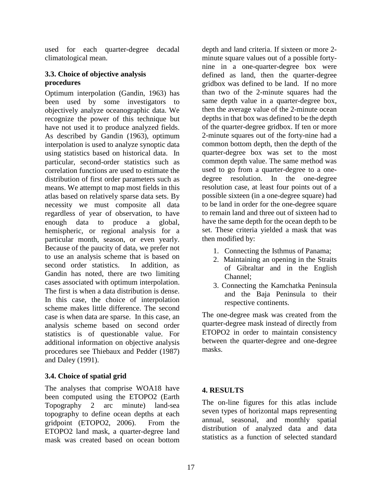used for each quarter-degree decadal climatological mean.

#### **3.3. Choice of objective analysis procedures**

Optimum interpolation (Gandin, 1963) has been used by some investigators to objectively analyze oceanographic data. We recognize the power of this technique but have not used it to produce analyzed fields. As described by Gandin (1963), optimum interpolation is used to analyze synoptic data using statistics based on historical data. In particular, second-order statistics such as correlation functions are used to estimate the distribution of first order parameters such as means. We attempt to map most fields in this atlas based on relatively sparse data sets. By necessity we must composite all data regardless of year of observation, to have enough data to produce a global, hemispheric, or regional analysis for a particular month, season, or even yearly. Because of the paucity of data, we prefer not to use an analysis scheme that is based on second order statistics. In addition, as Gandin has noted, there are two limiting cases associated with optimum interpolation. The first is when a data distribution is dense. In this case, the choice of interpolation scheme makes little difference. The second case is when data are sparse. In this case, an analysis scheme based on second order statistics is of questionable value. For additional information on objective analysis procedures see Thiebaux and Pedder (1987) and Daley (1991).

### **3.4. Choice of spatial grid**

The analyses that comprise WOA18 have been computed using the ETOPO2 (Earth Topography 2 arc minute) land-sea topography to define ocean depths at each gridpoint (ETOPO2, 2006). From the ETOPO2 land mask, a quarter-degree land mask was created based on ocean bottom

depth and land criteria. If sixteen or more 2 minute square values out of a possible fortynine in a one-quarter-degree box were defined as land, then the quarter-degree gridbox was defined to be land. If no more than two of the 2-minute squares had the same depth value in a quarter-degree box, then the average value of the 2-minute ocean depths in that box was defined to be the depth of the quarter-degree gridbox. If ten or more 2-minute squares out of the forty-nine had a common bottom depth, then the depth of the quarter-degree box was set to the most common depth value. The same method was used to go from a quarter-degree to a onedegree resolution. In the one-degree resolution case, at least four points out of a possible sixteen (in a one-degree square) had to be land in order for the one-degree square to remain land and three out of sixteen had to have the same depth for the ocean depth to be set. These criteria yielded a mask that was then modified by:

- 1. Connecting the Isthmus of Panama;
- 2. Maintaining an opening in the Straits of Gibraltar and in the English Channel;
- 3. Connecting the Kamchatka Peninsula and the Baja Peninsula to their respective continents.

The one-degree mask was created from the quarter-degree mask instead of directly from ETOPO2 in order to maintain consistency between the quarter-degree and one-degree masks.

#### **4. RESULTS**

The on-line figures for this atlas include seven types of horizontal maps representing annual, seasonal, and monthly spatial distribution of analyzed data and data statistics as a function of selected standard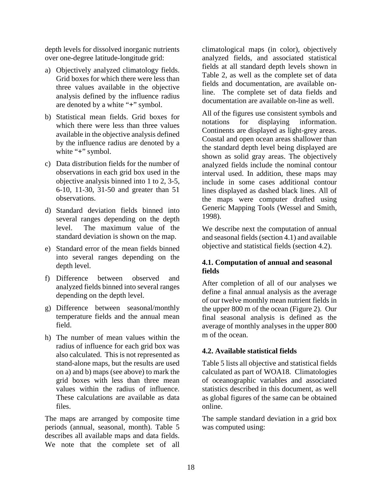depth levels for dissolved inorganic nutrients over one-degree latitude-longitude grid:

- a) Objectively analyzed climatology fields. Grid boxes for which there were less than three values available in the objective analysis defined by the influence radius are denoted by a white "**+**" symbol.
- b) Statistical mean fields. Grid boxes for which there were less than three values available in the objective analysis defined by the influence radius are denoted by a white "**+**" symbol.
- c) Data distribution fields for the number of observations in each grid box used in the objective analysis binned into 1 to 2, 3-5, 6-10, 11-30, 31-50 and greater than 51 observations.
- d) Standard deviation fields binned into several ranges depending on the depth level. The maximum value of the standard deviation is shown on the map.
- e) Standard error of the mean fields binned into several ranges depending on the depth level.
- f) Difference between observed and analyzed fields binned into several ranges depending on the depth level.
- g) Difference between seasonal/monthly temperature fields and the annual mean field.
- h) The number of mean values within the radius of influence for each grid box was also calculated. This is not represented as stand-alone maps, but the results are used on a) and b) maps (see above) to mark the grid boxes with less than three mean values within the radius of influence. These calculations are available as data files.

The maps are arranged by composite time periods (annual, seasonal, month). Table 5 describes all available maps and data fields. We note that the complete set of all

climatological maps (in color), objectively analyzed fields, and associated statistical fields at all standard depth levels shown in Table 2, as well as the complete set of data fields and documentation, are available online. The complete set of data fields and documentation are available on-line as well.

All of the figures use consistent symbols and notations for displaying information. Continents are displayed as light-grey areas. Coastal and open ocean areas shallower than the standard depth level being displayed are shown as solid gray areas. The objectively analyzed fields include the nominal contour interval used. In addition, these maps may include in some cases additional contour lines displayed as dashed black lines. All of the maps were computer drafted using Generic Mapping Tools (Wessel and Smith, 1998).

We describe next the computation of annual and seasonal fields (section 4.1) and available objective and statistical fields (section 4.2).

#### **4.1. Computation of annual and seasonal fields**

After completion of all of our analyses we define a final annual analysis as the average of our twelve monthly mean nutrient fields in the upper 800 m of the ocean (Figure 2). Our final seasonal analysis is defined as the average of monthly analyses in the upper 800 m of the ocean.

### **4.2. Available statistical fields**

Table 5 lists all objective and statistical fields calculated as part of WOA18. Climatologies of oceanographic variables and associated statistics described in this document, as well as global figures of the same can be obtained online.

The sample standard deviation in a grid box was computed using: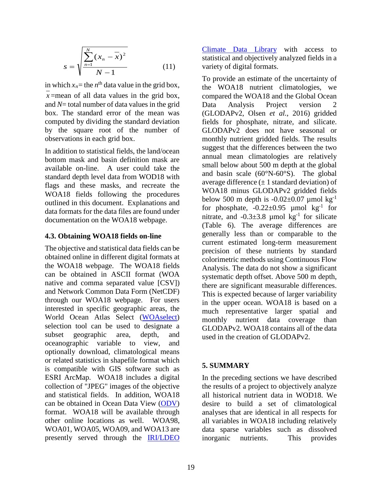$$
s = \sqrt{\frac{\sum_{n=1}^{N} (x_n - \overline{x})^2}{N - 1}}
$$
 (11)

in which  $x_n$ = the  $n^{\text{th}}$  data value in the grid box,

*x* =mean of all data values in the grid box, and *N*= total number of data values in the grid box. The standard error of the mean was computed by dividing the standard deviation by the square root of the number of observations in each grid box.

In addition to statistical fields, the land/ocean bottom mask and basin definition mask are available on-line. A user could take the standard depth level data from WOD18 with flags and these masks, and recreate the WOA18 fields following the procedures outlined in this document. Explanations and data formats for the data files are found under documentation on the WOA18 webpage.

#### **4.3. Obtaining WOA18 fields on-line**

The objective and statistical data fields can be obtained online in different digital formats at the WOA18 webpage. The WOA18 fields can be obtained in ASCII format (WOA native and comma separated value [CSV]) and Network Common Data Form (NetCDF) through our WOA18 webpage. For users interested in specific geographic areas, the World Ocean Atlas Select [\(WOAselect\)](http://www.nodc.noaa.gov/OC5/SELECT/dbsearch/dbsearch.html) selection tool can be used to designate a subset geographic area, depth, and oceanographic variable to view, and optionally download, climatological means or related statistics in shapefile format which is compatible with GIS software such as ESRI ArcMap. WOA18 includes a digital collection of "JPEG" images of the objective and statistical fields. In addition, WOA18 can be obtained in Ocean Data View [\(ODV\)](http://odv.awi.de/) format. WOA18 will be available through other online locations as well. WOA98, WOA01, WOA05, WOA09, and WOA13 are presently served through the [IRI/LDEO](http://iridl.ldeo.columbia.edu/) 

[Climate Data Library](http://iridl.ldeo.columbia.edu/) with access to statistical and objectively analyzed fields in a variety of digital formats.

To provide an estimate of the uncertainty of the WOA18 nutrient climatologies, we compared the WOA18 and the Global Ocean Data Analysis Project version 2 (GLODAPv2, Olsen *et al.*, 2016) gridded fields for phosphate, nitrate, and silicate. GLODAPv2 does not have seasonal or monthly nutrient gridded fields. The results suggest that the differences between the two annual mean climatologies are relatively small below about 500 m depth at the global and basin scale (60°N-60°S). The global average difference  $(\pm 1)$  standard deviation) of WOA18 minus GLODAPv2 gridded fields below 500 m depth is  $-0.02 \pm 0.07$  umol kg<sup>-1</sup> for phosphate,  $-0.22 \pm 0.95$  µmol kg<sup>-1</sup> for nitrate, and  $-0.3\pm3.8$  µmol kg<sup>-1</sup> for silicate (Table 6). The average differences are generally less than or comparable to the current estimated long-term measurement precision of these nutrients by standard colorimetric methods using Continuous Flow Analysis. The data do not show a significant systematic depth offset. Above 500 m depth, there are significant measurable differences. This is expected because of larger variability in the upper ocean. WOA18 is based on a much representative larger spatial and monthly nutrient data coverage than GLODAPv2. WOA18 contains all of the data used in the creation of GLODAPv2.

### **5. SUMMARY**

In the preceding sections we have described the results of a project to objectively analyze all historical nutrient data in WOD18. We desire to build a set of climatological analyses that are identical in all respects for all variables in WOA18 including relatively data sparse variables such as dissolved inorganic nutrients. This provides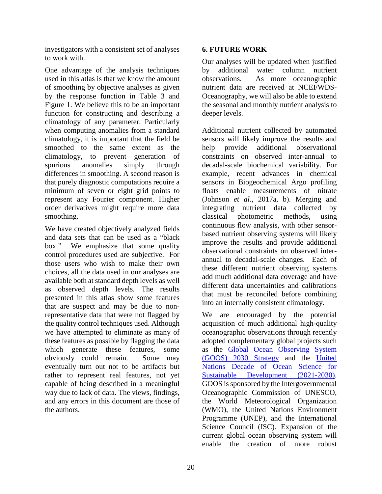investigators with a consistent set of analyses to work with.

One advantage of the analysis techniques used in this atlas is that we know the amount of smoothing by objective analyses as given by the response function in Table 3 and Figure 1. We believe this to be an important function for constructing and describing a climatology of any parameter. Particularly when computing anomalies from a standard climatology, it is important that the field be smoothed to the same extent as the climatology, to prevent generation of spurious anomalies simply through differences in smoothing. A second reason is that purely diagnostic computations require a minimum of seven or eight grid points to represent any Fourier component. Higher order derivatives might require more data smoothing.

We have created objectively analyzed fields and data sets that can be used as a "black box." We emphasize that some quality control procedures used are subjective. For those users who wish to make their own choices, all the data used in our analyses are available both at standard depth levels as well as observed depth levels. The results presented in this atlas show some features that are suspect and may be due to nonrepresentative data that were not flagged by the quality control techniques used. Although we have attempted to eliminate as many of these features as possible by flagging the data which generate these features, some obviously could remain. Some may eventually turn out not to be artifacts but rather to represent real features, not yet capable of being described in a meaningful way due to lack of data. The views, findings, and any errors in this document are those of the authors.

#### **6. FUTURE WORK**

Our analyses will be updated when justified by additional water column nutrient<br>observations. As more oceanographic As more oceanographic nutrient data are received at NCEI/WDS-Oceanography, we will also be able to extend the seasonal and monthly nutrient analysis to deeper levels.

Additional nutrient collected by automated sensors will likely improve the results and help provide additional observational constraints on observed inter-annual to decadal-scale biochemical variability. For example, recent advances in chemical sensors in Biogeochemical Argo profiling floats enable measurements of nitrate (Johnson *et al.*, 2017a, b). Merging and integrating nutrient data collected by classical photometric methods, using continuous flow analysis, with other sensorbased nutrient observing systems will likely improve the results and provide additional observational constraints on observed interannual to decadal-scale changes. Each of these different nutrient observing systems add much additional data coverage and have different data uncertainties and calibrations that must be reconciled before combining into an internally consistent climatology.

We are encouraged by the potential acquisition of much additional high-quality oceanographic observations through recently adopted complementary global projects such as the [Global Ocean Observing System](https://www.goosocean.org/index.php?option=com_oe&task=viewDocumentRecord&docID=24590)  [\(GOOS\) 2030 Strategy](https://www.goosocean.org/index.php?option=com_oe&task=viewDocumentRecord&docID=24590) and the [United](https://en.unesco.org/ocean-decade)  [Nations Decade of Ocean Science for](https://en.unesco.org/ocean-decade)  [Sustainable Development \(2021-2030\).](https://en.unesco.org/ocean-decade) GOOS is sponsored by the Intergovernmental Oceanographic Commission of UNESCO, the World Meteorological Organization (WMO), the United Nations Environment Programme (UNEP), and the International Science Council (ISC). Expansion of the current global ocean observing system will enable the creation of more robust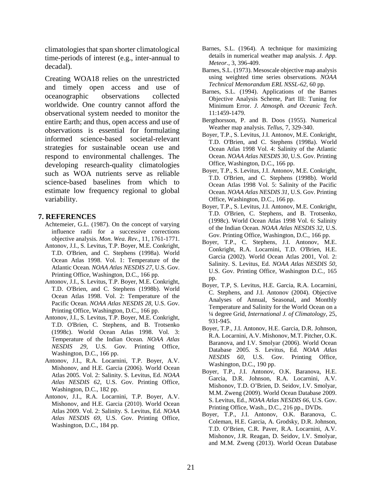climatologies that span shorter climatological time-periods of interest (e.g., inter-annual to decadal).

Creating WOA18 relies on the unrestricted and timely open access and use of oceanographic observations collected worldwide. One country cannot afford the observational system needed to monitor the entire Earth; and thus, open access and use of observations is essential for formulating informed science-based societal-relevant strategies for sustainable ocean use and respond to environmental challenges. The developing research-quality climatologies such as WOA nutrients serve as reliable science-based baselines from which to estimate low frequency regional to global variability.

#### **7. REFERENCES**

- Achtemeier, G.L. (1987). On the concept of varying influence radii for a successive corrections objective analysis. *Mon. Wea. Rev.,* 11, 1761-1771.
- Antonov, J.I., S. Levitus, T.P. Boyer, M.E. Conkright, T.D. O'Brien, and C. Stephens (1998a). World Ocean Atlas 1998. Vol. 1: Temperature of the Atlantic Ocean*. NOAA Atlas NESDIS 27*, U.S. Gov. Printing Office, Washington, D.C., 166 pp.
- Antonov, J.I., S. Levitus, T.P. Boyer, M.E. Conkright, T.D. O'Brien, and C. Stephens (1998b). World Ocean Atlas 1998. Vol. 2: Temperature of the Pacific Ocean*. NOAA Atlas NESDIS 28*, U.S. Gov. Printing Office, Washington, D.C., 166 pp.
- Antonov, J.I., S. Levitus, T.P. Boyer, M.E. Conkright, T.D. O'Brien, C. Stephens, and B. Trotsenko (1998c). World Ocean Atlas 1998. Vol. 3: Temperature of the Indian Ocean*. NOAA Atlas NESDIS 29*, U.S. Gov. Printing Office, Washington, D.C., 166 pp.
- Antonov, J.I., R.A. Locarnini, T.P. Boyer, A.V. Mishonov, and H.E. Garcia (2006). World Ocean Atlas 2005. Vol. 2: Salinity. S. Levitus, Ed. *NOAA Atlas NESDIS 62*, U.S. Gov. Printing Office, Washington, D.C., 182 pp.
- Antonov, J.I., R.A. Locarnini, T.P. Boyer, A.V. Mishonov, and H.E. Garcia (2010). World Ocean Atlas 2009. Vol. 2: Salinity*.* S. Levitus, Ed. *NOAA Atlas NESDIS 69*, U.S. Gov. Printing Office, Washington, D.C., 184 pp.
- Barnes, S.L. (1964). A technique for maximizing details in numerical weather map analysis. *J. App. Meteor.*, 3, 396-409.
- Barnes, S.L. (1973). Mesoscale objective map analysis using weighted time series observations*. NOAA Technical Memorandum ERL NSSL-62*, 60 pp.
- Barnes, S.L. (1994). Applications of the Barnes Objective Analysis Scheme, Part III: Tuning for Minimum Error. *J. Atmosph. and Oceanic Tech*. 11:1459-1479.
- Bergthorsson, P. and B. Doos (1955). Numerical Weather map analysis. *Tellus*, 7, 329-340.
- Boyer, T.P., S. Levitus, J.I. Antonov, M.E. Conkright, T.D. O'Brien, and C. Stephens (1998a). World Ocean Atlas 1998 Vol. 4: Salinity of the Atlantic Ocean. *NOAA Atlas NESDIS 30*, U.S. Gov. Printing Office, Washington, D.C., 166 pp.
- Boyer, T.P., S. Levitus, J.I. Antonov, M.E. Conkright, T.D. O'Brien, and C. Stephens (1998b). World Ocean Atlas 1998 Vol. 5: Salinity of the Pacific Ocean*. NOAA Atlas NESDIS 31*, U.S. Gov. Printing Office, Washington, D.C., 166 pp.
- Boyer, T.P., S. Levitus, J.I. Antonov, M.E. Conkright, T.D. O'Brien, C. Stephens, and B. Trotsenko, (1998c). World Ocean Atlas 1998 Vol. 6: Salinity of the Indian Ocean. *NOAA Atlas NESDIS 32*, U.S. Gov. Printing Office, Washington, D.C., 166 pp.
- Boyer, T.P., C. Stephens, J.I. Antonov, M.E. Conkright, R.A. Locarnini, T.D. O'Brien, H.E. Garcia (2002). World Ocean Atlas 2001, Vol. 2: Salinity. S. Levitus, Ed. *NOAA Atlas NESDIS 50*, U.S. Gov. Printing Office, Washington D.C*.,* 165 pp.
- Boyer, T.P, S. Levitus, H.E. Garcia, R.A. Locarnini, C. Stephens, and J.I. Antonov (2004). Objective Analyses of Annual, Seasonal, and Monthly Temperature and Salinity for the World Ocean on a ¼ degree Grid, *International J. of Climatology*, 25, 931-945.
- Boyer, T.P., J.I. Antonov, H.E. Garcia, D.R. Johnson, R.A. Locarnini, A.V. Mishonov, M.T. Pitcher, O.K. Baranova, and I.V. Smolyar (2006). World Ocean Database 2005*.* S. Levitus, Ed. *NOAA Atlas NESDIS 60*, U.S. Gov. Printing Office, Washington, D.C., 190 pp.
- Boyer, T.P., J.I. Antonov, O.K. Baranova, H.E. Garcia, D.R. Johnson, R.A. Locarnini, A.V. Mishonov, T.D. O'Brien, D. Seidov, I.V. Smolyar, M.M. Zweng (2009). World Ocean Database 2009. S. Levitus, Ed., *NOAA Atlas NESDIS 66*, U.S. Gov. Printing Office, Wash., D.C., 216 pp., DVDs.
- Boyer, T.P., J.I. Antonov, O.K. Baranova, C. Coleman, H.E. Garcia, A. Grodsky, D.R. Johnson, T.D. O'Brien, C.R. Paver, R.A. Locarnini, A.V. Mishonov, J.R. Reagan, D. Seidov, I.V. Smolyar, and M.M. Zweng (2013). World Ocean Database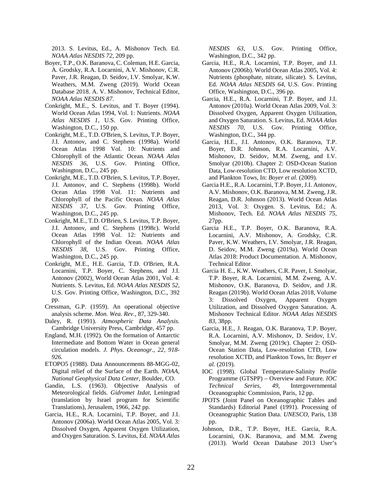2013. S. Levitus, Ed., A. Mishonov Tech. Ed. *NOAA Atlas NESDIS 72*, 209 pp.

- Boyer, T.P., O.K. Baranova, C. Coleman, H.E. Garcia, A. Grodsky, R.A. Locarnini, A.V. Mishonov, C.R. Paver, J.R. Reagan, D. Seidov, I.V. Smolyar, K.W. Weathers, M.M. Zweng (2019). World Ocean Database 2018. A. V. Mishonov, Technical Editor, *NOAA Atlas NESDIS 87*.
- Conkright, M.E., S. Levitus, and T. Boyer (1994). World Ocean Atlas 1994, Vol. 1: Nutrients. *NOAA Atlas NESDIS 1*, U.S. Gov. Printing Office, Washington, D.C., 150 pp.
- Conkright, M.E., T.D. O'Brien, S. Levitus, T.P. Boyer, J.I. Antonov, and C. Stephens (1998a). World Ocean Atlas 1998 Vol. 10: Nutrients and Chlorophyll of the Atlantic Ocean*. NOAA Atlas NESDIS 36*, U.S. Gov. Printing Office, Washington, D.C., 245 pp.
- Conkright, M.E., T.D. O'Brien, S. Levitus, T.P. Boyer, J.I. Antonov, and C. Stephens (1998b). World Ocean Atlas 1998 Vol. 11: Nutrients and Chlorophyll of the Pacific Ocean*. NOAA Atlas NESDIS 37*, U.S. Gov. Printing Office, Washington, D.C., 245 pp.
- Conkright, M.E., T.D. O'Brien, S. Levitus, T.P. Boyer, J.I. Antonov, and C. Stephens (1998c). World Ocean Atlas 1998 Vol. 12: Nutrients and Chlorophyll of the Indian Ocean*. NOAA Atlas NESDIS 38*, U.S. Gov. Printing Office, Washington, D.C., 245 pp.
- Conkright, M.E., H.E. Garcia, T.D. O'Brien, R.A. Locarnini, T.P. Boyer, C. Stephens, and J.I. Antonov (2002). World Ocean Atlas 2001, Vol. 4: Nutrients. S. Levitus, Ed. *NOAA Atlas NESDIS 52*, U.S. Gov. Printing Office, Washington, D.C., 392 pp.
- Cressman, G.P. (1959). An operational objective analysis scheme. *Mon. Wea. Rev.*, 87, 329-340.
- Daley, R. (1991). *Atmospheric Data Analysis.* Cambridge University Press, Cambridge, 457 pp.
- England, M.H. (1992). On the formation of Antarctic Intermediate and Bottom Water in Ocean general circulation models. *J. Phys. Oceanogr., 22, 918- 926.*
- ETOPO5 (1988). Data Announcements 88-MGG-02, Digital relief of the Surface of the Earth. *NOAA, National Geophysical Data Center,* Boulder, CO.
- Gandin, L.S. (1963). Objective Analysis of Meteorological fields. *Gidromet Izdat*, Leningrad (translation by Israel program for Scientific Translations), Jerusalem, 1966, 242 pp.
- Garcia, H.E., R.A. Locarnini, T.P. Boyer, and J.I. Antonov (2006a). World Ocean Atlas 2005, Vol. 3: Dissolved Oxygen, Apparent Oxygen Utilization, and Oxygen Saturation. S. Levitus, Ed. *NOAA Atlas*

*NESDIS 63*, U.S. Gov. Printing Office, Washington, D.C., 342 pp.

- Garcia, H.E., R.A. Locarnini, T.P. Boyer, and J.I. Antonov (2006b). World Ocean Atlas 2005, Vol. 4: Nutrients (phosphate, nitrate, silicate)*.* S. Levitus, Ed. *NOAA Atlas NESDIS 64*, U.S. Gov. Printing Office, Washington, D.C., 396 pp.
- Garcia, H.E., R.A. Locarnini, T.P. Boyer, and J.I. Antonov (2010a). World Ocean Atlas 2009, Vol. 3: Dissolved Oxygen, Apparent Oxygen Utilization, and Oxygen Saturation. S. Levitus, Ed. *NOAA Atlas NESDIS 70*, U.S. Gov. Printing Office, Washington, D.C., 344 pp.
- Garcia, H.E., J.I. Antonov, O.K. Baranova, T.P. Boyer, D.R. Johnson, R.A. Locarnini, A.V. Mishonov, D. Seidov, M.M. Zweng, and I.V. Smolyar (2010b). Chapter 2: OSD-Ocean Station Data, Low-resolution CTD, Low resolution XCTD, and Plankton Tows, In: *Boyer et al.* (2009).
- Garcia H.E., R.A. Locarnini, T.P. Boyer, J.I. Antonov, A.V. Mishonov, O.K. Baranova, M.M. Zweng, J.R. Reagan, D.R. Johnson (2013). World Ocean Atlas 2013, Vol. 3: Oxygen. S. Levitus, Ed.; A. Mishonov, Tech. Ed. *NOAA Atlas NESDIS 75*, 27pp.
- Garcia H.E., T.P. Boyer, O.K. Baranova, R.A. Locarnini, A.V. Mishonov, A. Grodsky, C.R. Paver, K.W. Weathers, I.V. Smolyar, J.R. Reagan, D. Seidov, M.M. Zweng (2019a). World Ocean Atlas 2018: Product Documentation. A. Mishonov, Technical Editor.
- Garcia H. E., K.W. Weathers, C.R. Paver, I. Smolyar, T.P. Boyer, R.A. Locarnini, M.M. Zweng, A.V. Mishonov, O.K. Baranova, D. Seidov, and J.R. Reagan (2019b). World Ocean Atlas 2018, Volume 3: Dissolved Oxygen, Apparent Oxygen Utilization, and Dissolved Oxygen Saturation. A. Mishonov Technical Editor. *NOAA Atlas NESDIS 83*, 38pp.
- Garcia, H.E., J. Reagan, O.K. Baranova, T.P. Boyer, R.A. Locarnini, A.V. Mishonov, D. Seidov, I.V. Smolyar, M.M. Zweng (2019c). Chapter 2: OSD-Ocean Station Data, Low-resolution CTD, Low resolution XCTD, and Plankton Tows, In: *Boyer et al.* (2019).
- IOC (1998). Global Temperature-Salinity Profile Programme (GTSPP) – Overview and Future. *IOC Technical Series, 49*, Intergovernmental Oceanographic Commission, Paris, 12 pp.
- JPOTS (Joint Panel on Oceanographic Tables and Standards) Editorial Panel (1991). Processing of Oceanographic Station Data. *UNESCO*, Paris, 138 pp.
- Johnson, D.R., T.P. Boyer, H.E. Garcia, R.A. Locarnini, O.K. Baranova, and M.M. Zweng (2013). World Ocean Database 2013 User's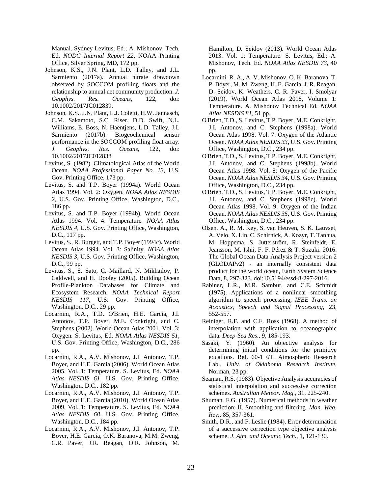Manual. Sydney Levitus, Ed.; A. Mishonov, Tech. Ed. *NODC Internal Report 22*, NOAA Printing Office, Silver Spring, MD, 172 pp.

- Johnson, K.S., J.N. Plant, L.D. Talley, and J.L. Sarmiento (2017a). Annual nitrate drawdown observed by SOCCOM profiling floats and the relationship to annual net community production. *J. Geophys. Res. Oceans,* 122, doi: 10.1002/2017JC012839.
- Johnson, K.S., J.N. Plant, L.J. Coletti, H.W. Jannasch, C.M. Sakamoto, S.C. Riser, D.D. Swift, N.L. Williams, E. Boss, N. Haëntjens, L.D. Talley, J.L Sarmiento (2017b). Biogeochemical sensor performance in the SOCCOM profiling float array. *J. Geophys. Res. Oceans*, 122, doi: 10.1002/2017JC012838
- Levitus, S. (1982). Climatological Atlas of the World Ocean. *NOAA Professional Paper No. 13*, U.S. Gov. Printing Office, 173 pp.
- Levitus, S. and T.P. Boyer (1994a). World Ocean Atlas 1994. Vol. 2: Oxygen. *NOAA Atlas NESDIS 2*, U.S. Gov. Printing Office, Washington, D.C., 186 pp.
- Levitus, S. and T.P. Boyer (1994b)*.* World Ocean Atlas 1994. Vol. 4: Temperature*. NOAA Atlas NESDIS 4*, U.S. Gov. Printing Office, Washington, D.C., 117 pp.
- Levitus, S., R. Burgett, and T.P. Boyer (1994c). World Ocean Atlas 1994. Vol. 3: Salinity. *NOAA Atlas NESDIS 3*, U.S. Gov. Printing Office, Washington, D.C., 99 pp.
- Levitus, S., S. Sato, C. Maillard, N. Mikhailov, P. Caldwell, and H. Dooley (2005). Building Ocean Profile-Plankton Databases for Climate and Ecosystem Research. *NOAA Technical Report NESDIS 117*, U.S. Gov. Printing Office, Washington, D.C., 29 pp.
- Locarnini, R.A., T.D. O'Brien, H.E. Garcia, J.I. Antonov, T.P. Boyer, M.E. Conkright, and C. Stephens (2002). World Ocean Atlas 2001. Vol. 3: Oxygen*.* S. Levitus, Ed. *NOAA Atlas NESDIS 51*, U.S. Gov. Printing Office, Washington, D.C., 286 pp.
- Locarnini, R.A., A.V. Mishonov, J.I. Antonov, T.P. Boyer, and H.E. Garcia (2006). World Ocean Atlas 2005. Vol. 1: Temperature. S. Levitus, Ed. *NOAA Atlas NESDIS 61*, U.S. Gov. Printing Office, Washington, D.C., 182 pp.
- Locarnini, R.A., A.V. Mishonov, J.I. Antonov, T.P. Boyer, and H.E. Garcia (2010). World Ocean Atlas 2009. Vol. 1: Temperature. S. Levitus, Ed. *NOAA Atlas NESDIS 68*, U.S. Gov. Printing Office, Washington, D.C., 184 pp.
- Locarnini, R.A., A.V. Mishonov, J.I. Antonov, T.P. Boyer, H.E. Garcia, O.K. Baranova, M.M. Zweng, C.R. Paver, J.R. Reagan, D.R. Johnson, M.

Hamilton, D. Seidov (2013)*.* World Ocean Atlas 2013. Vol. 1: Temperature*.* S. Levitus, Ed.; A. Mishonov, Tech. Ed. *NOAA Atlas NESDIS 73*, 40 pp.

- Locarnini, R. A., A. V. Mishonov, O. K. Baranova, T. P. Boyer, M. M. Zweng, H. E. Garcia, J. R. Reagan, D. Seidov, K. Weathers, C. R. Paver, I. Smolyar (2019). World Ocean Atlas 2018, Volume 1: Temperature. A. Mishonov Technical Ed. *NOAA Atlas NESDIS 81*, 51 pp.
- O'Brien, T.D., S. Levitus, T.P. Boyer, M.E. Conkright, J.I. Antonov, and C. Stephens (1998a). World Ocean Atlas 1998. Vol. 7: Oxygen of the Atlantic Ocean. *NOAA Atlas NESDIS 33*, U.S. Gov. Printing Office, Washington, D.C., 234 pp.
- O'Brien, T.D., S. Levitus, T.P. Boyer, M.E. Conkright, J.I. Antonov, and C. Stephens (1998b). World Ocean Atlas 1998. Vol. 8: Oxygen of the Pacific Ocean. *NOAA Atlas NESDIS 34*, U.S. Gov. Printing Office, Washington, D.C., 234 pp.
- O'Brien, T.D., S. Levitus, T.P. Boyer, M.E. Conkright, J.I. Antonov, and C. Stephens (1998c). World Ocean Atlas 1998. Vol. 9: Oxygen of the Indian Ocean. *NOAA Atlas NESDIS 35*, U.S. Gov. Printing Office, Washington, D.C., 234 pp.
- Olsen, A., R. M. Key, S. van Heuven, S. K. Lauvset, A. Velo, X. Lin, C. Schirnick, A. Kozyr, T. Tanhua, M. Hoppema, S. Jutterström, R. Steinfeldt, E. Jeansson, M. Ishii, F. F. Pérez & T. Suzuki. 2016. The Global Ocean Data Analysis Project version 2 (GLODAPv2) - an internally consistent data product for the world ocean, Earth System Science Data, 8, 297-323. doi:10.5194/essd-8-297-2016.
- Rabiner, L.R., M.R. Sambur, and C.E. Schmidt (1975). Applications of a nonlinear smoothing algorithm to speech processing, *IEEE Trans. on Acoustics, Speech and Signal Processing*, 23, 552-557.
- Reiniger, R.F. and C.F. Ross (1968). A method of interpolation with application to oceanographic data. *Deep-Sea Res*., 9, 185-193.
- Sasaki, Y. (1960). An objective analysis for determining initial conditions for the primitive equations. Ref. 60-1 6T, Atmospheric Research Lab., *Univ. of Oklahoma Research Institute*, Norman, 23 pp.
- Seaman, R.S. (1983). Objective Analysis accuracies of statistical interpolation and successive correction schemes. *Australian Meteor. Mag.*, 31, 225-240.
- Shuman, F.G. (1957). Numerical methods in weather prediction: II. Smoothing and filtering*. Mon. Wea. Rev.*, 85, 357-361.
- Smith, D.R., and F. Leslie (1984). Error determination of a successive correction type objective analysis scheme. *J. Atm. and Oceanic Tech.*, 1, 121-130.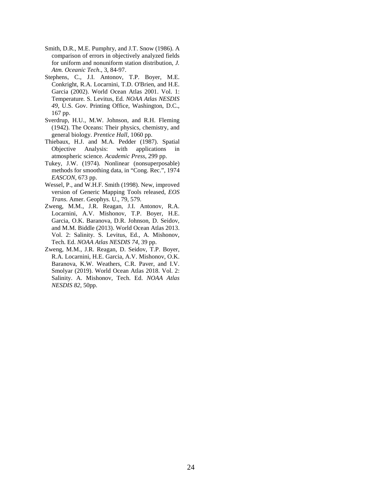- Smith, D.R., M.E. Pumphry, and J.T. Snow (1986). A comparison of errors in objectively analyzed fields for uniform and nonuniform station distribution, *J. Atm. Oceanic Tech*., 3, 84-97.
- Stephens, C., J.I. Antonov, T.P. Boyer, M.E. Conkright, R.A. Locarnini, T.D. O'Brien, and H.E. Garcia (2002). World Ocean Atlas 2001. Vol. 1: Temperature*.* S. Levitus, Ed*. NOAA Atlas NESDIS 49*, U.S. Gov. Printing Office, Washington, D.C., 167 pp.
- Sverdrup, H.U., M.W. Johnson, and R.H. Fleming (1942). The Oceans: Their physics, chemistry, and general biology. *Prentice Hall*, 1060 pp.
- Thiebaux, H.J. and M.A. Pedder (1987). Spatial Objective Analysis: with applications in atmospheric science. *Academic Press*, 299 pp.
- Tukey, J.W. (1974). Nonlinear (nonsuperposable) methods for smoothing data, in "Cong. Rec.", 1974 *EASCON*, 673 pp.
- Wessel, P., and W.H.F. Smith (1998). New, improved version of Generic Mapping Tools released, *EOS Trans*. Amer. Geophys. U., 79, 579.
- Zweng, M.M., J.R. Reagan, J.I. Antonov, R.A. Locarnini, A.V. Mishonov, T.P. Boyer, H.E. Garcia, O.K. Baranova, D.R. Johnson, D. Seidov, and M.M. Biddle (2013). World Ocean Atlas 2013. Vol. 2: Salinity*.* S. Levitus, Ed., A. Mishonov, Tech. Ed. *NOAA Atlas NESDIS 74*, 39 pp.
- Zweng, M.M., J.R. Reagan, D. Seidov, T.P. Boyer, R.A. Locarnini, H.E. Garcia, A.V. Mishonov, O.K. Baranova, K.W. Weathers, C.R. Paver, and I.V. Smolyar (2019). World Ocean Atlas 2018. Vol. 2: Salinity. A. Mishonov, Tech. Ed. *NOAA Atlas NESDIS 82*, 50pp.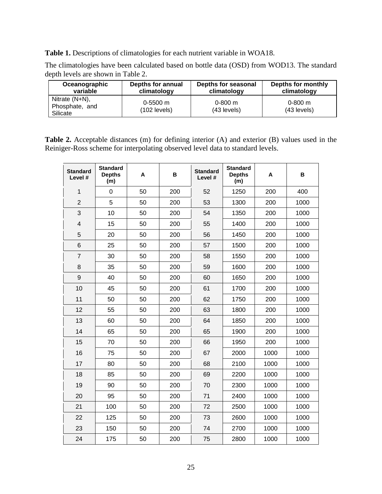<span id="page-28-0"></span>**Table 1.** Descriptions of climatologies for each nutrient variable in WOA18.

The climatologies have been calculated based on bottle data (OSD) from WOD13. The standard depth levels are shown in Table 2.

| Oceanographic                                   | <b>Depths for annual</b>   | Depths for seasonal          | Depths for monthly         |
|-------------------------------------------------|----------------------------|------------------------------|----------------------------|
| variable                                        | climatology                | climatology                  | climatology                |
| Nitrate $(N+N)$ ,<br>Phosphate, and<br>Silicate | $0-5500$ m<br>(102 levels) | $0 - 800$ m<br>$(43$ levels) | $0 - 800$ m<br>(43 levels) |

<span id="page-28-1"></span>**Table 2.** Acceptable distances (m) for defining interior (A) and exterior (B) values used in the Reiniger-Ross scheme for interpolating observed level data to standard levels.

| <b>Standard</b><br>Level # | <b>Standard</b><br><b>Depths</b><br>(m) | A  | в   | <b>Standard</b><br>Level # | <b>Standard</b><br><b>Depths</b><br>(m) | A    | в    |
|----------------------------|-----------------------------------------|----|-----|----------------------------|-----------------------------------------|------|------|
| $\mathbf{1}$               | $\mathbf 0$                             | 50 | 200 | 52                         | 1250                                    | 200  | 400  |
| $\overline{2}$             | 5                                       | 50 | 200 | 53                         | 1300                                    | 200  | 1000 |
| 3                          | 10                                      | 50 | 200 | 54                         | 1350                                    | 200  | 1000 |
| 4                          | 15                                      | 50 | 200 | 55                         | 1400                                    | 200  | 1000 |
| 5                          | 20                                      | 50 | 200 | 56                         | 1450                                    | 200  | 1000 |
| 6                          | 25                                      | 50 | 200 | 57                         | 1500                                    | 200  | 1000 |
| $\overline{7}$             | 30                                      | 50 | 200 | 58                         | 1550                                    | 200  | 1000 |
| 8                          | 35                                      | 50 | 200 | 59                         | 1600                                    | 200  | 1000 |
| 9                          | 40                                      | 50 | 200 | 60                         | 1650                                    | 200  | 1000 |
| 10                         | 45                                      | 50 | 200 | 61                         | 1700                                    | 200  | 1000 |
| 11                         | 50                                      | 50 | 200 | 62                         | 1750                                    | 200  | 1000 |
| 12                         | 55                                      | 50 | 200 | 63                         | 1800                                    | 200  | 1000 |
| 13                         | 60                                      | 50 | 200 | 64                         | 1850                                    | 200  | 1000 |
| 14                         | 65                                      | 50 | 200 | 65                         | 1900                                    | 200  | 1000 |
| 15                         | 70                                      | 50 | 200 | 66                         | 1950                                    | 200  | 1000 |
| 16                         | 75                                      | 50 | 200 | 67                         | 2000                                    | 1000 | 1000 |
| 17                         | 80                                      | 50 | 200 | 68                         | 2100                                    | 1000 | 1000 |
| 18                         | 85                                      | 50 | 200 | 69                         | 2200                                    | 1000 | 1000 |
| 19                         | 90                                      | 50 | 200 | 70                         | 2300                                    | 1000 | 1000 |
| 20                         | 95                                      | 50 | 200 | 71                         | 2400                                    | 1000 | 1000 |
| 21                         | 100                                     | 50 | 200 | 72                         | 2500                                    | 1000 | 1000 |
| 22                         | 125                                     | 50 | 200 | 73                         | 2600                                    | 1000 | 1000 |
| 23                         | 150                                     | 50 | 200 | 74                         | 2700                                    | 1000 | 1000 |
| 24                         | 175                                     | 50 | 200 | 75                         | 2800                                    | 1000 | 1000 |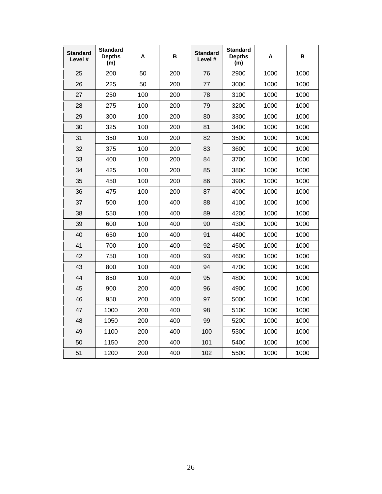| <b>Standard</b><br>Level # | <b>Standard</b><br><b>Depths</b><br>(m) | Α   | в   | <b>Standard</b><br>Level # | <b>Standard</b><br><b>Depths</b><br>(m) | Α    | в    |
|----------------------------|-----------------------------------------|-----|-----|----------------------------|-----------------------------------------|------|------|
| 25                         | 200                                     | 50  | 200 | 76                         | 2900                                    | 1000 | 1000 |
| 26                         | 225                                     | 50  | 200 | 77                         | 3000                                    | 1000 | 1000 |
| 27                         | 250                                     | 100 | 200 | 78                         | 3100                                    | 1000 | 1000 |
| 28                         | 275                                     | 100 | 200 | 79                         | 3200                                    | 1000 | 1000 |
| 29                         | 300                                     | 100 | 200 | 80                         | 3300                                    | 1000 | 1000 |
| 30                         | 325                                     | 100 | 200 | 81                         | 3400                                    | 1000 | 1000 |
| 31                         | 350                                     | 100 | 200 | 82                         | 3500                                    | 1000 | 1000 |
| 32                         | 375                                     | 100 | 200 | 83                         | 3600                                    | 1000 | 1000 |
| 33                         | 400                                     | 100 | 200 | 84                         | 3700                                    | 1000 | 1000 |
| 34                         | 425                                     | 100 | 200 | 85                         | 3800                                    | 1000 | 1000 |
| 35                         | 450                                     | 100 | 200 | 86                         | 3900                                    | 1000 | 1000 |
| 36                         | 475                                     | 100 | 200 | 87                         | 4000                                    | 1000 | 1000 |
| 37                         | 500                                     | 100 | 400 | 88                         | 4100                                    | 1000 | 1000 |
| 38                         | 550                                     | 100 | 400 | 89                         | 4200                                    | 1000 | 1000 |
| 39                         | 600                                     | 100 | 400 | 90                         | 4300                                    | 1000 | 1000 |
| 40                         | 650                                     | 100 | 400 | 91                         | 4400                                    | 1000 | 1000 |
| 41                         | 700                                     | 100 | 400 | 92                         | 4500                                    | 1000 | 1000 |
| 42                         | 750                                     | 100 | 400 | 93                         | 4600                                    | 1000 | 1000 |
| 43                         | 800                                     | 100 | 400 | 94                         | 4700                                    | 1000 | 1000 |
| 44                         | 850                                     | 100 | 400 | 95                         | 4800                                    | 1000 | 1000 |
| 45                         | 900                                     | 200 | 400 | 96                         | 4900                                    | 1000 | 1000 |
| 46                         | 950                                     | 200 | 400 | 97                         | 5000                                    | 1000 | 1000 |
| 47                         | 1000                                    | 200 | 400 | 98                         | 5100                                    | 1000 | 1000 |
| 48                         | 1050                                    | 200 | 400 | 99                         | 5200                                    | 1000 | 1000 |
| 49                         | 1100                                    | 200 | 400 | 100                        | 5300                                    | 1000 | 1000 |
| 50                         | 1150                                    | 200 | 400 | 101                        | 5400                                    | 1000 | 1000 |
| 51                         | 1200                                    | 200 | 400 | 102                        | 5500                                    | 1000 | 1000 |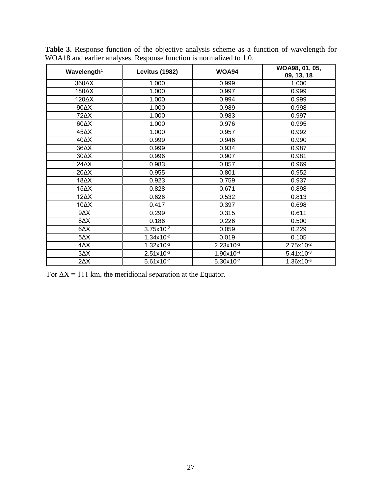| Wavelength <sup>1</sup> | <b>Levitus (1982)</b> | <b>WOA94</b>   | WOA98, 01, 05,<br>09, 13, 18 |
|-------------------------|-----------------------|----------------|------------------------------|
| 360AX                   | 1.000                 | 0.999          | 1.000                        |
| 180AX                   | 1.000                 | 0.997          | 0.999                        |
| 120AX                   | 1.000                 | 0.994          | 0.999                        |
| $90\Delta X$            | 1.000                 | 0.989          | 0.998                        |
| 72AX                    | 1.000                 | 0.983          | 0.997                        |
| $60\Delta X$            | 1.000                 | 0.976          | 0.995                        |
| 45 $\Delta$ X           | 1.000                 | 0.957          | 0.992                        |
| 40 $\Delta$ X           | 0.999                 | 0.946          | 0.990                        |
| $36\Delta X$            | 0.999                 | 0.934          | 0.987                        |
| $30\Delta X$            | 0.996                 | 0.907          | 0.981                        |
| 24 AX                   | 0.983                 | 0.857          | 0.969                        |
| 20 $\Delta$ X           | 0.955                 | 0.801          | 0.952                        |
| 18 $\Delta$ X           | 0.923                 | 0.759          | 0.937                        |
| $15\Delta X$            | 0.828                 | 0.671          | 0.898                        |
| $12\Delta X$            | 0.626                 | 0.532          | 0.813                        |
| 10AX                    | 0.417                 | 0.397          | 0.698                        |
| $9\Delta X$             | 0.299                 | 0.315          | 0.611                        |
| $X\Delta 8$             | 0.186                 | 0.226          | 0.500                        |
| $\Delta\Delta$          | $3.75x10^{-2}$        | 0.059          | 0.229                        |
| $5\Delta X$             | $1.34x10^{-2}$        | 0.019          | 0.105                        |
| $4\Delta X$             | $1.32x10^{-3}$        | $2.23x10^{-3}$ | $2.75x10^{-2}$               |
| $3\Delta X$             | $2.51x10^{-3}$        | 1.90x10-4      | $5.41x10^{-3}$               |
| $2\Delta X$             | $5.61x10^{-7}$        | $5.30x10^{-7}$ | $1.36x10^{-6}$               |

<span id="page-30-0"></span>**Table 3.** Response function of the objective analysis scheme as a function of wavelength for WOA18 and earlier analyses. Response function is normalized to 1.0.

<sup>1</sup>For  $\Delta X = 111$  km, the meridional separation at the Equator.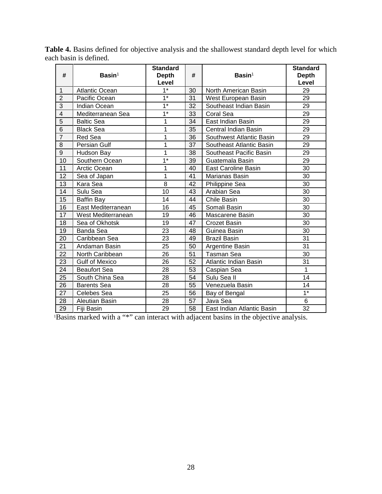| #                       | $Basin1$              | <b>Standard</b><br><b>Depth</b><br>Level | #  | $Basin1$                   | <b>Standard</b><br><b>Depth</b><br>Level |
|-------------------------|-----------------------|------------------------------------------|----|----------------------------|------------------------------------------|
| 1                       | <b>Atlantic Ocean</b> | $\overline{1^*}$                         | 30 | North American Basin       | 29                                       |
| $\overline{2}$          | Pacific Ocean         | $1*$                                     | 31 | West European Basin        | 29                                       |
| $\overline{3}$          | Indian Ocean          | $\overline{1^*}$                         | 32 | Southeast Indian Basin     | 29                                       |
| $\overline{\mathbf{4}}$ | Mediterranean Sea     | $\overline{1^*}$                         | 33 | Coral Sea                  | 29                                       |
| $\overline{5}$          | <b>Baltic Sea</b>     | 1                                        | 34 | East Indian Basin          | 29                                       |
| $\overline{6}$          | <b>Black Sea</b>      | 1                                        | 35 | Central Indian Basin       | 29                                       |
| $\overline{7}$          | Red Sea               | 1                                        | 36 | Southwest Atlantic Basin   | 29                                       |
| 8                       | Persian Gulf          | 1                                        | 37 | Southeast Atlantic Basin   | 29                                       |
| $\overline{9}$          | Hudson Bay            | 1                                        | 38 | Southeast Pacific Basin    | 29                                       |
| 10                      | Southern Ocean        | $\overline{1^*}$                         | 39 | Guatemala Basin            | 29                                       |
| 11                      | Arctic Ocean          | 1                                        | 40 | <b>East Caroline Basin</b> | 30                                       |
| 12                      | Sea of Japan          | 1                                        | 41 | Marianas Basin             | 30                                       |
| 13                      | Kara Sea              | 8                                        | 42 | Philippine Sea             | 30                                       |
| 14                      | Sulu Sea              | 10                                       | 43 | Arabian Sea                | 30                                       |
| 15                      | Baffin Bay            | 14                                       | 44 | <b>Chile Basin</b>         | 30                                       |
| 16                      | East Mediterranean    | 16                                       | 45 | Somali Basin               | 30                                       |
| 17                      | West Mediterranean    | 19                                       | 46 | Mascarene Basin            | 30                                       |
| 18                      | Sea of Okhotsk        | 19                                       | 47 | <b>Crozet Basin</b>        | 30                                       |
| 19                      | Banda Sea             | 23                                       | 48 | Guinea Basin               | 30                                       |
| 20                      | Caribbean Sea         | 23                                       | 49 | <b>Brazil Basin</b>        | 31                                       |
| 21                      | Andaman Basin         | 25                                       | 50 | Argentine Basin            | 31                                       |
| 22                      | North Caribbean       | 26                                       | 51 | <b>Tasman Sea</b>          | 30                                       |
| 23                      | <b>Gulf of Mexico</b> | 26                                       | 52 | Atlantic Indian Basin      | 31                                       |
| 24                      | <b>Beaufort Sea</b>   | 28                                       | 53 | Caspian Sea                | $\mathbf 1$                              |
| 25                      | South China Sea       | 28                                       | 54 | Sulu Sea II                | 14                                       |
| 26                      | <b>Barents Sea</b>    | 28                                       | 55 | Venezuela Basin            | 14                                       |
| 27                      | Celebes Sea           | $\overline{25}$                          | 56 | Bay of Bengal              | $1^*$                                    |
| 28                      | Aleutian Basin        | 28                                       | 57 | Java Sea                   | 6                                        |
| 29                      | Fiji Basin            | 29                                       | 58 | East Indian Atlantic Basin | 32                                       |

<span id="page-31-0"></span>**Table 4.** Basins defined for objective analysis and the shallowest standard depth level for which each basin is defined.

Basins marked with a "\*" can interact with adjacent basins in the objective analysis.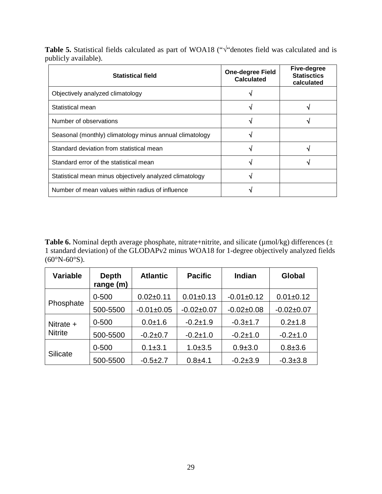<span id="page-32-0"></span>**Table 5.** Statistical fields calculated as part of WOA18 ("√"denotes field was calculated and is publicly available).

| <b>Statistical field</b>                                | <b>One-degree Field</b><br>Calculated | <b>Five-degree</b><br><b>Statisctics</b><br>calculated |
|---------------------------------------------------------|---------------------------------------|--------------------------------------------------------|
| Objectively analyzed climatology                        |                                       |                                                        |
| Statistical mean                                        |                                       |                                                        |
| Number of observations                                  |                                       |                                                        |
| Seasonal (monthly) climatology minus annual climatology |                                       |                                                        |
| Standard deviation from statistical mean                |                                       |                                                        |
| Standard error of the statistical mean                  |                                       |                                                        |
| Statistical mean minus objectively analyzed climatology |                                       |                                                        |
| Number of mean values within radius of influence        |                                       |                                                        |

<span id="page-32-1"></span>Table 6. Nominal depth average phosphate, nitrate+nitrite, and silicate (µmol/kg) differences (± 1 standard deviation) of the GLODAPv2 minus WOA18 for 1-degree objectively analyzed fields  $(60^{\circ}N - 60^{\circ}S).$ 

| <b>Variable</b>             | <b>Depth</b><br>range (m) | <b>Atlantic</b> | <b>Pacific</b>  | <b>Indian</b> | Global          |
|-----------------------------|---------------------------|-----------------|-----------------|---------------|-----------------|
|                             | $0 - 500$                 | $0.02 + 0.11$   | $0.01 \pm 0.13$ | $-0.01+0.12$  | $0.01 \pm 0.12$ |
| Phosphate                   | 500-5500                  | $-0.01 + 0.05$  | $-0.02+0.07$    | $-0.02+0.08$  | $-0.02+0.07$    |
| Nitrate +<br><b>Nitrite</b> | $0 - 500$                 | $0.0 + 1.6$     | $-0.2 + 1.9$    | $-0.3 + 1.7$  | $0.2 + 1.8$     |
|                             | 500-5500                  | $-0.2+0.7$      | $-0.2 + 1.0$    | $-0.2 + 1.0$  | $-0.2 + 1.0$    |
| <b>Silicate</b>             | $0 - 500$                 | $0.1 + 3.1$     | $1.0 + 3.5$     | $0.9 + 3.0$   | $0.8 + 3.6$     |
|                             | 500-5500                  | $-0.5+2.7$      | $0.8 + 4.1$     | $-0.2 + 3.9$  | $-0.3 \pm 3.8$  |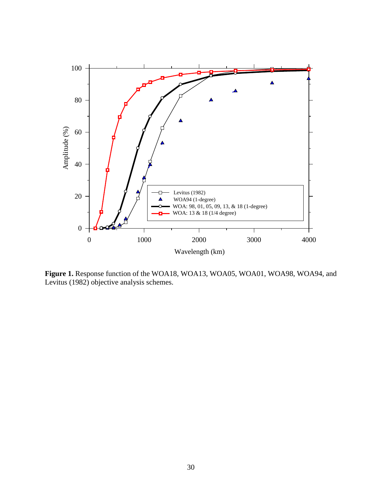

<span id="page-33-0"></span>**Figure 1.** Response function of the WOA18, WOA13, WOA05, WOA01, WOA98, WOA94, and Levitus (1982) objective analysis schemes.